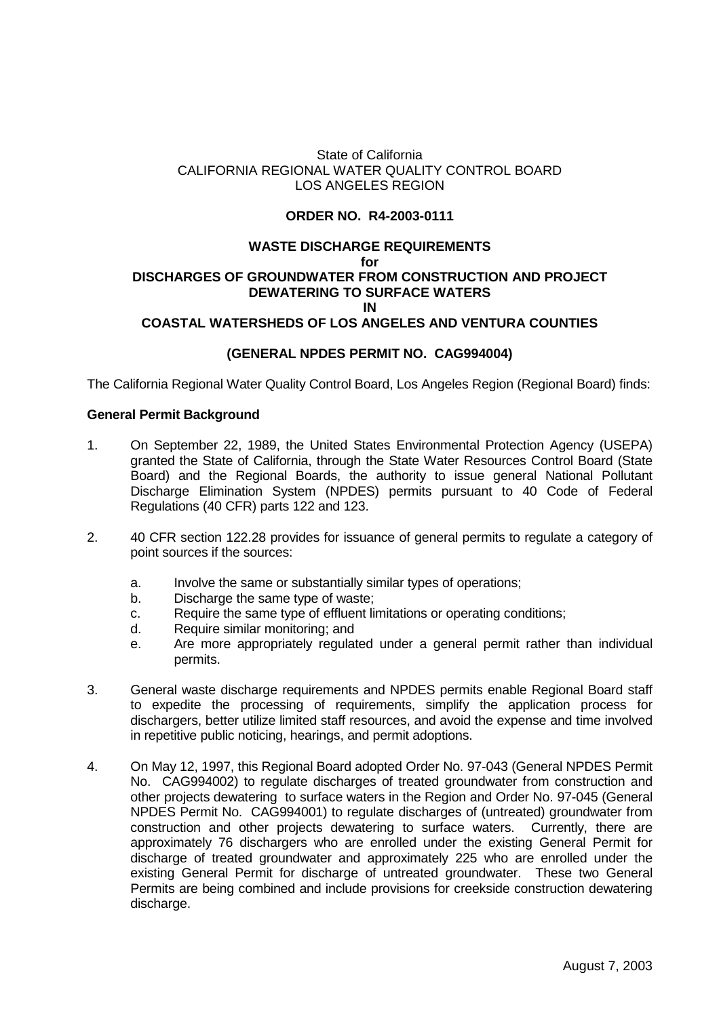# State of California CALIFORNIA REGIONAL WATER QUALITY CONTROL BOARD LOS ANGELES REGION

# **ORDER NO. R4-2003-0111**

#### **WASTE DISCHARGE REQUIREMENTS for DISCHARGES OF GROUNDWATER FROM CONSTRUCTION AND PROJECT DEWATERING TO SURFACE WATERS IN**

## **COASTAL WATERSHEDS OF LOS ANGELES AND VENTURA COUNTIES**

## **(GENERAL NPDES PERMIT NO. CAG994004)**

The California Regional Water Quality Control Board, Los Angeles Region (Regional Board) finds:

#### **General Permit Background**

- 1. On September 22, 1989, the United States Environmental Protection Agency (USEPA) granted the State of California, through the State Water Resources Control Board (State Board) and the Regional Boards, the authority to issue general National Pollutant Discharge Elimination System (NPDES) permits pursuant to 40 Code of Federal Regulations (40 CFR) parts 122 and 123.
- 2. 40 CFR section 122.28 provides for issuance of general permits to regulate a category of point sources if the sources:
	- a. Involve the same or substantially similar types of operations;
	- b. Discharge the same type of waste;
	- c. Require the same type of effluent limitations or operating conditions;
	- d. Require similar monitoring; and
	- e. Are more appropriately regulated under a general permit rather than individual permits.
- 3. General waste discharge requirements and NPDES permits enable Regional Board staff to expedite the processing of requirements, simplify the application process for dischargers, better utilize limited staff resources, and avoid the expense and time involved in repetitive public noticing, hearings, and permit adoptions.
- 4. On May 12, 1997, this Regional Board adopted Order No. 97-043 (General NPDES Permit No. CAG994002) to regulate discharges of treated groundwater from construction and other projects dewatering to surface waters in the Region and Order No. 97-045 (General NPDES Permit No. CAG994001) to regulate discharges of (untreated) groundwater from construction and other projects dewatering to surface waters. Currently, there are approximately 76 dischargers who are enrolled under the existing General Permit for discharge of treated groundwater and approximately 225 who are enrolled under the existing General Permit for discharge of untreated groundwater. These two General Permits are being combined and include provisions for creekside construction dewatering discharge.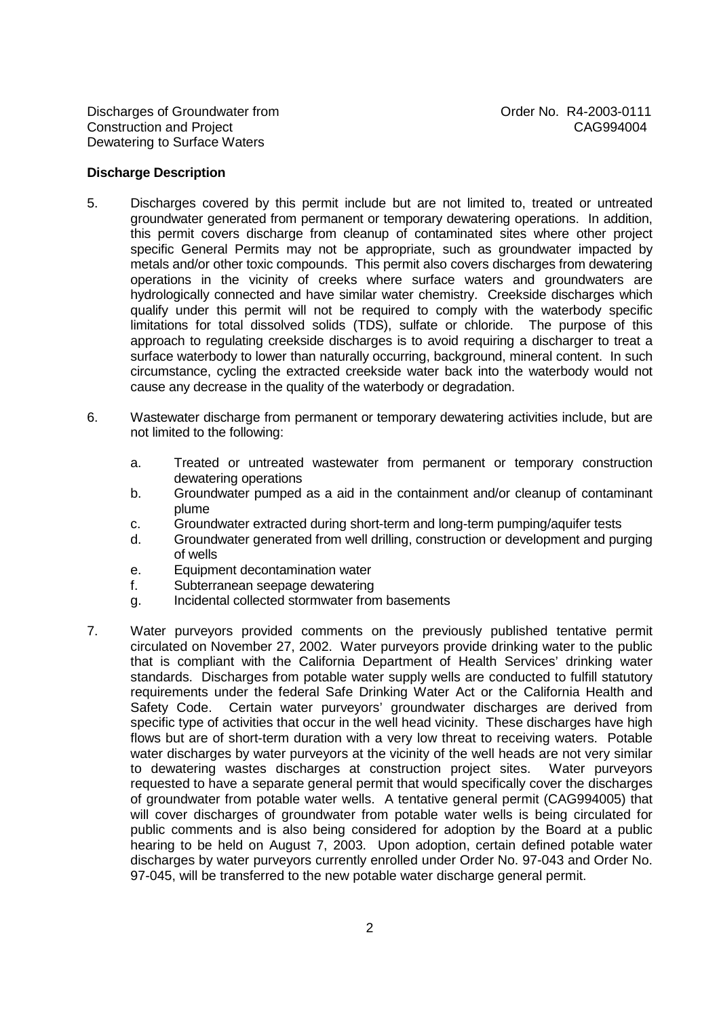#### **Discharge Description**

- 5. Discharges covered by this permit include but are not limited to, treated or untreated groundwater generated from permanent or temporary dewatering operations. In addition, this permit covers discharge from cleanup of contaminated sites where other project specific General Permits may not be appropriate, such as groundwater impacted by metals and/or other toxic compounds. This permit also covers discharges from dewatering operations in the vicinity of creeks where surface waters and groundwaters are hydrologically connected and have similar water chemistry. Creekside discharges which qualify under this permit will not be required to comply with the waterbody specific limitations for total dissolved solids (TDS), sulfate or chloride. The purpose of this approach to regulating creekside discharges is to avoid requiring a discharger to treat a surface waterbody to lower than naturally occurring, background, mineral content. In such circumstance, cycling the extracted creekside water back into the waterbody would not cause any decrease in the quality of the waterbody or degradation.
- 6. Wastewater discharge from permanent or temporary dewatering activities include, but are not limited to the following:
	- a. Treated or untreated wastewater from permanent or temporary construction dewatering operations
	- b. Groundwater pumped as a aid in the containment and/or cleanup of contaminant plume
	- c. Groundwater extracted during short-term and long-term pumping/aquifer tests
	- d. Groundwater generated from well drilling, construction or development and purging of wells
	- e. Equipment decontamination water
	- f. Subterranean seepage dewatering
	- g. Incidental collected stormwater from basements
- 7. Water purveyors provided comments on the previously published tentative permit circulated on November 27, 2002. Water purveyors provide drinking water to the public that is compliant with the California Department of Health Services' drinking water standards. Discharges from potable water supply wells are conducted to fulfill statutory requirements under the federal Safe Drinking Water Act or the California Health and Safety Code. Certain water purveyors' groundwater discharges are derived from specific type of activities that occur in the well head vicinity. These discharges have high flows but are of short-term duration with a very low threat to receiving waters. Potable water discharges by water purveyors at the vicinity of the well heads are not very similar to dewatering wastes discharges at construction project sites. Water purveyors requested to have a separate general permit that would specifically cover the discharges of groundwater from potable water wells. A tentative general permit (CAG994005) that will cover discharges of groundwater from potable water wells is being circulated for public comments and is also being considered for adoption by the Board at a public hearing to be held on August 7, 2003. Upon adoption, certain defined potable water discharges by water purveyors currently enrolled under Order No. 97-043 and Order No. 97-045, will be transferred to the new potable water discharge general permit.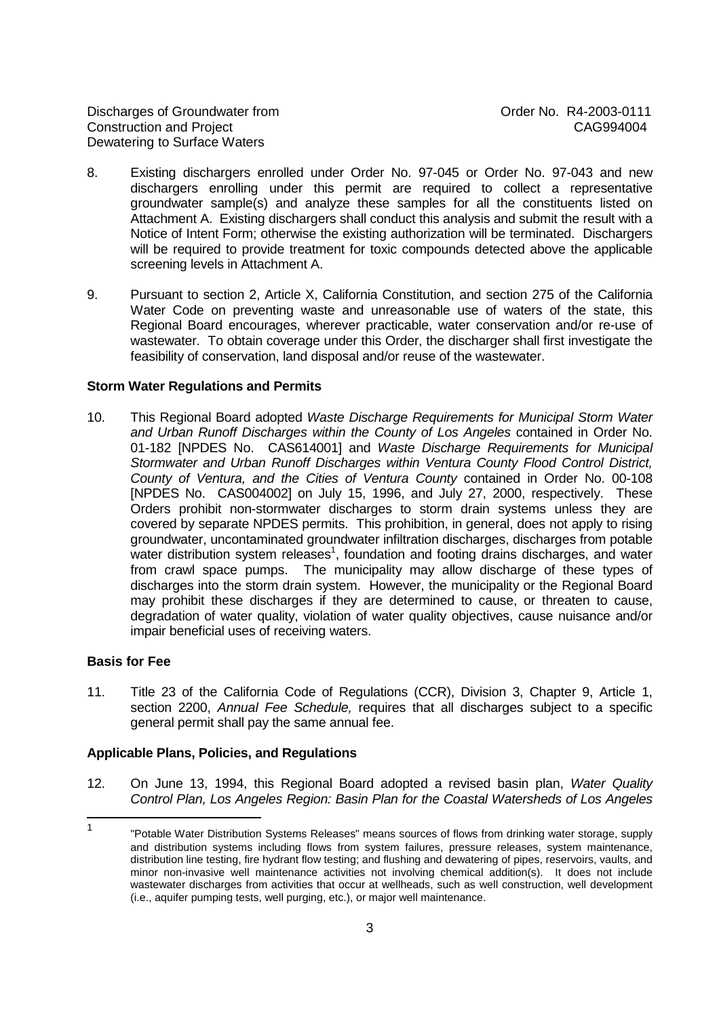Discharges of Groundwater from The Control of Control order No. R4-2003-0111 Construction and Project CAG994004 Dewatering to Surface Waters

- 8. Existing dischargers enrolled under Order No. 97-045 or Order No. 97-043 and new dischargers enrolling under this permit are required to collect a representative groundwater sample(s) and analyze these samples for all the constituents listed on Attachment A. Existing dischargers shall conduct this analysis and submit the result with a Notice of Intent Form; otherwise the existing authorization will be terminated. Dischargers will be required to provide treatment for toxic compounds detected above the applicable screening levels in Attachment A.
- 9. Pursuant to section 2, Article X, California Constitution, and section 275 of the California Water Code on preventing waste and unreasonable use of waters of the state, this Regional Board encourages, wherever practicable, water conservation and/or re-use of wastewater. To obtain coverage under this Order, the discharger shall first investigate the feasibility of conservation, land disposal and/or reuse of the wastewater.

#### **Storm Water Regulations and Permits**

10. This Regional Board adopted Waste Discharge Requirements for Municipal Storm Water and Urban Runoff Discharges within the County of Los Angeles contained in Order No. 01-182 [NPDES No. CAS614001] and Waste Discharge Requirements for Municipal Stormwater and Urban Runoff Discharges within Ventura County Flood Control District, County of Ventura, and the Cities of Ventura County contained in Order No. 00-108 [NPDES No. CAS004002] on July 15, 1996, and July 27, 2000, respectively. These Orders prohibit non-stormwater discharges to storm drain systems unless they are covered by separate NPDES permits. This prohibition, in general, does not apply to rising groundwater, uncontaminated groundwater infiltration discharges, discharges from potable water distribution system releases<sup>1</sup>, foundation and footing drains discharges, and water from crawl space pumps. The municipality may allow discharge of these types of discharges into the storm drain system. However, the municipality or the Regional Board may prohibit these discharges if they are determined to cause, or threaten to cause, degradation of water quality, violation of water quality objectives, cause nuisance and/or impair beneficial uses of receiving waters.

#### **Basis for Fee**

11. Title 23 of the California Code of Regulations (CCR), Division 3, Chapter 9, Article 1, section 2200, Annual Fee Schedule, requires that all discharges subject to a specific general permit shall pay the same annual fee.

#### **Applicable Plans, Policies, and Regulations**

12. On June 13, 1994, this Regional Board adopted a revised basin plan, Water Quality Control Plan, Los Angeles Region: Basin Plan for the Coastal Watersheds of Los Angeles

 $\frac{1}{1}$ "Potable Water Distribution Systems Releases" means sources of flows from drinking water storage, supply and distribution systems including flows from system failures, pressure releases, system maintenance, distribution line testing, fire hydrant flow testing; and flushing and dewatering of pipes, reservoirs, vaults, and minor non-invasive well maintenance activities not involving chemical addition(s). It does not include wastewater discharges from activities that occur at wellheads, such as well construction, well development (i.e., aquifer pumping tests, well purging, etc.), or major well maintenance.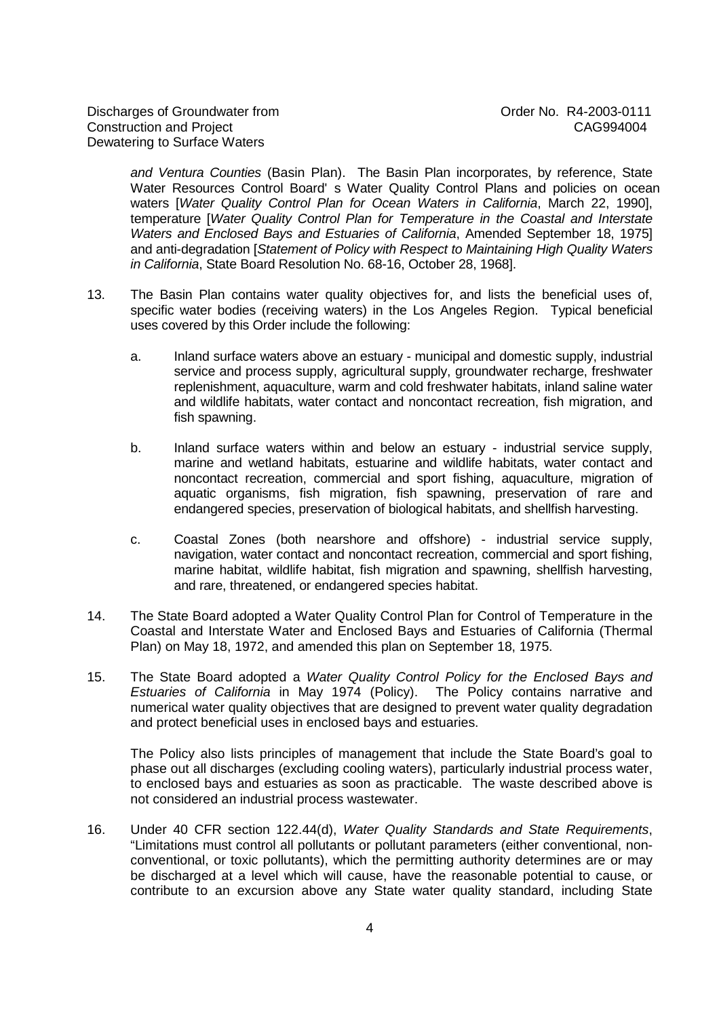and Ventura Counties (Basin Plan). The Basin Plan incorporates, by reference, State Water Resources Control Board' s Water Quality Control Plans and policies on ocean waters [Water Quality Control Plan for Ocean Waters in California, March 22, 1990]. temperature [Water Quality Control Plan for Temperature in the Coastal and Interstate Waters and Enclosed Bays and Estuaries of California, Amended September 18, 1975] and anti-degradation [Statement of Policy with Respect to Maintaining High Quality Waters in California, State Board Resolution No. 68-16, October 28, 1968].

- 13. The Basin Plan contains water quality objectives for, and lists the beneficial uses of, specific water bodies (receiving waters) in the Los Angeles Region. Typical beneficial uses covered by this Order include the following:
	- a. Inland surface waters above an estuary municipal and domestic supply, industrial service and process supply, agricultural supply, groundwater recharge, freshwater replenishment, aquaculture, warm and cold freshwater habitats, inland saline water and wildlife habitats, water contact and noncontact recreation, fish migration, and fish spawning.
	- b. Inland surface waters within and below an estuary industrial service supply, marine and wetland habitats, estuarine and wildlife habitats, water contact and noncontact recreation, commercial and sport fishing, aquaculture, migration of aquatic organisms, fish migration, fish spawning, preservation of rare and endangered species, preservation of biological habitats, and shellfish harvesting.
	- c. Coastal Zones (both nearshore and offshore) industrial service supply, navigation, water contact and noncontact recreation, commercial and sport fishing, marine habitat, wildlife habitat, fish migration and spawning, shellfish harvesting, and rare, threatened, or endangered species habitat.
- 14. The State Board adopted a Water Quality Control Plan for Control of Temperature in the Coastal and Interstate Water and Enclosed Bays and Estuaries of California (Thermal Plan) on May 18, 1972, and amended this plan on September 18, 1975.
- 15. The State Board adopted a Water Quality Control Policy for the Enclosed Bays and Estuaries of California in May 1974 (Policy). The Policy contains narrative and numerical water quality objectives that are designed to prevent water quality degradation and protect beneficial uses in enclosed bays and estuaries.

The Policy also lists principles of management that include the State Board's goal to phase out all discharges (excluding cooling waters), particularly industrial process water, to enclosed bays and estuaries as soon as practicable. The waste described above is not considered an industrial process wastewater.

16. Under 40 CFR section 122.44(d), Water Quality Standards and State Requirements, "Limitations must control all pollutants or pollutant parameters (either conventional, nonconventional, or toxic pollutants), which the permitting authority determines are or may be discharged at a level which will cause, have the reasonable potential to cause, or contribute to an excursion above any State water quality standard, including State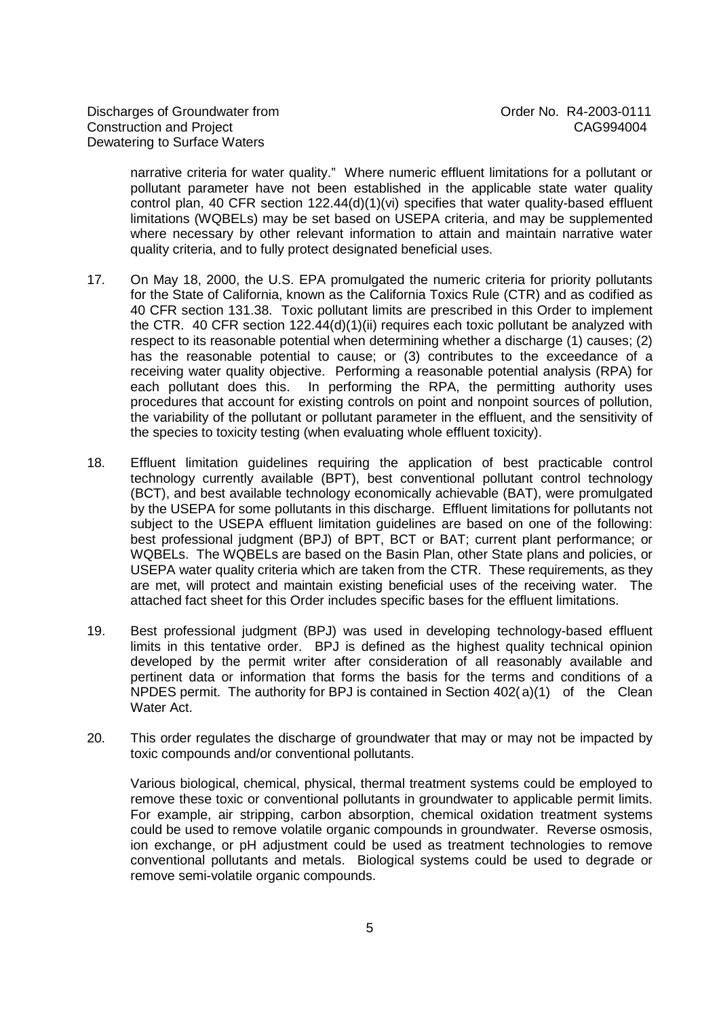narrative criteria for water quality." Where numeric effluent limitations for a pollutant or pollutant parameter have not been established in the applicable state water quality control plan, 40 CFR section  $122.44(d)(1)(vi)$  specifies that water quality-based effluent limitations (WQBELs) may be set based on USEPA criteria, and may be supplemented where necessary by other relevant information to attain and maintain narrative water quality criteria, and to fully protect designated beneficial uses.

- 17. On May 18, 2000, the U.S. EPA promulgated the numeric criteria for priority pollutants for the State of California, known as the California Toxics Rule (CTR) and as codified as 40 CFR section 131.38. Toxic pollutant limits are prescribed in this Order to implement the CTR. 40 CFR section 122.44(d)(1)(ii) requires each toxic pollutant be analyzed with respect to its reasonable potential when determining whether a discharge (1) causes; (2) has the reasonable potential to cause; or (3) contributes to the exceedance of a receiving water quality objective. Performing a reasonable potential analysis (RPA) for each pollutant does this. In performing the RPA, the permitting authority uses procedures that account for existing controls on point and nonpoint sources of pollution, the variability of the pollutant or pollutant parameter in the effluent, and the sensitivity of the species to toxicity testing (when evaluating whole effluent toxicity).
- 18. Effluent limitation guidelines requiring the application of best practicable control technology currently available (BPT), best conventional pollutant control technology (BCT), and best available technology economically achievable (BAT), were promulgated by the USEPA for some pollutants in this discharge. Effluent limitations for pollutants not subject to the USEPA effluent limitation guidelines are based on one of the following: best professional judgment (BPJ) of BPT, BCT or BAT; current plant performance; or WQBELs. The WQBELs are based on the Basin Plan, other State plans and policies, or USEPA water quality criteria which are taken from the CTR. These requirements, as they are met, will protect and maintain existing beneficial uses of the receiving water. The attached fact sheet for this Order includes specific bases for the effluent limitations.
- 19. Best professional judgment (BPJ) was used in developing technology-based effluent limits in this tentative order. BPJ is defined as the highest quality technical opinion developed by the permit writer after consideration of all reasonably available and pertinent data or information that forms the basis for the terms and conditions of a NPDES permit. The authority for BPJ is contained in Section 402( a)(1) of the Clean Water Act.
- 20. This order regulates the discharge of groundwater that may or may not be impacted by toxic compounds and/or conventional pollutants.

Various biological, chemical, physical, thermal treatment systems could be employed to remove these toxic or conventional pollutants in groundwater to applicable permit limits. For example, air stripping, carbon absorption, chemical oxidation treatment systems could be used to remove volatile organic compounds in groundwater. Reverse osmosis, ion exchange, or pH adjustment could be used as treatment technologies to remove conventional pollutants and metals. Biological systems could be used to degrade or remove semi-volatile organic compounds.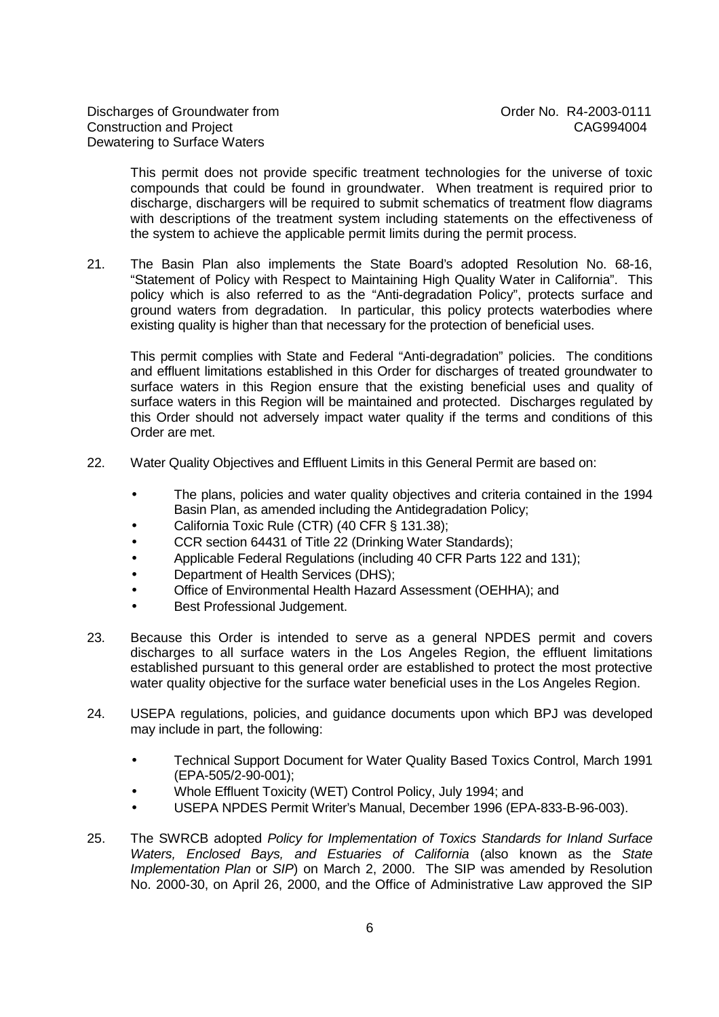This permit does not provide specific treatment technologies for the universe of toxic compounds that could be found in groundwater. When treatment is required prior to discharge, dischargers will be required to submit schematics of treatment flow diagrams with descriptions of the treatment system including statements on the effectiveness of the system to achieve the applicable permit limits during the permit process.

21. The Basin Plan also implements the State Board's adopted Resolution No. 68-16, "Statement of Policy with Respect to Maintaining High Quality Water in California". This policy which is also referred to as the "Anti-degradation Policy", protects surface and ground waters from degradation. In particular, this policy protects waterbodies where existing quality is higher than that necessary for the protection of beneficial uses.

This permit complies with State and Federal "Anti-degradation" policies. The conditions and effluent limitations established in this Order for discharges of treated groundwater to surface waters in this Region ensure that the existing beneficial uses and quality of surface waters in this Region will be maintained and protected. Discharges regulated by this Order should not adversely impact water quality if the terms and conditions of this Order are met.

- 22. Water Quality Objectives and Effluent Limits in this General Permit are based on:
	- The plans, policies and water quality objectives and criteria contained in the 1994 Basin Plan, as amended including the Antidegradation Policy;
	- California Toxic Rule (CTR) (40 CFR § 131.38);
	- CCR section 64431 of Title 22 (Drinking Water Standards);
	- Applicable Federal Regulations (including 40 CFR Parts 122 and 131);
	- Department of Health Services (DHS);
	- Office of Environmental Health Hazard Assessment (OEHHA); and
	- Best Professional Judgement.
- 23. Because this Order is intended to serve as a general NPDES permit and covers discharges to all surface waters in the Los Angeles Region, the effluent limitations established pursuant to this general order are established to protect the most protective water quality objective for the surface water beneficial uses in the Los Angeles Region.
- 24. USEPA regulations, policies, and guidance documents upon which BPJ was developed may include in part, the following:
	- Technical Support Document for Water Quality Based Toxics Control, March 1991 (EPA-505/2-90-001);
	- Whole Effluent Toxicity (WET) Control Policy, July 1994; and
	- USEPA NPDES Permit Writer's Manual, December 1996 (EPA-833-B-96-003).
- 25. The SWRCB adopted Policy for Implementation of Toxics Standards for Inland Surface Waters, Enclosed Bays, and Estuaries of California (also known as the State Implementation Plan or SIP) on March 2, 2000. The SIP was amended by Resolution No. 2000-30, on April 26, 2000, and the Office of Administrative Law approved the SIP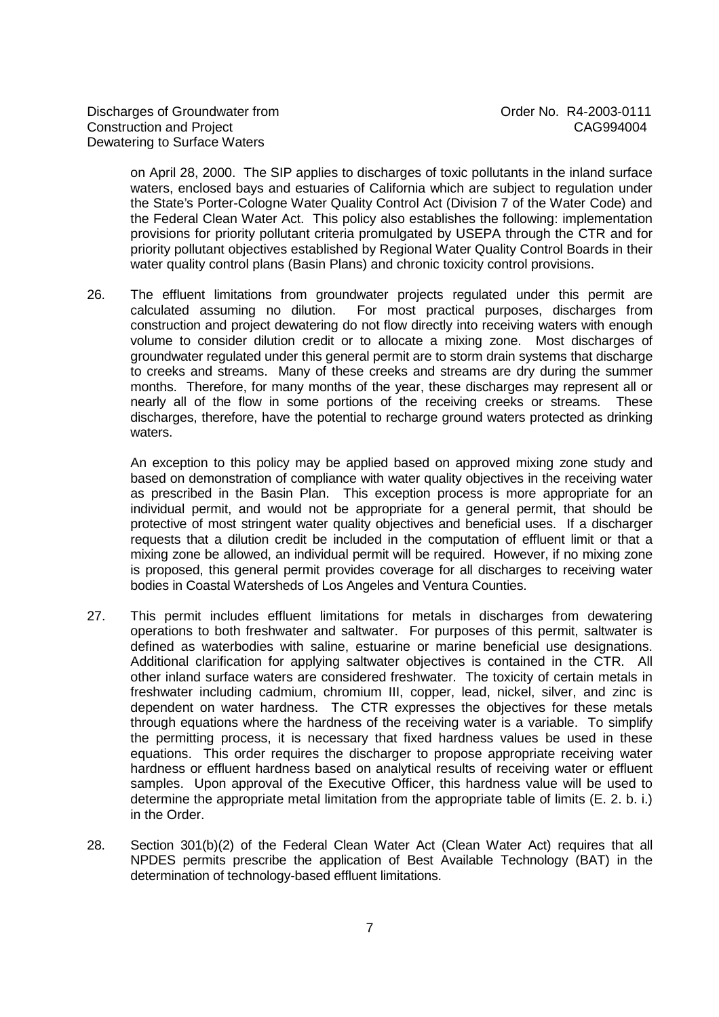on April 28, 2000. The SIP applies to discharges of toxic pollutants in the inland surface waters, enclosed bays and estuaries of California which are subject to regulation under the State's Porter-Cologne Water Quality Control Act (Division 7 of the Water Code) and the Federal Clean Water Act. This policy also establishes the following: implementation provisions for priority pollutant criteria promulgated by USEPA through the CTR and for priority pollutant objectives established by Regional Water Quality Control Boards in their water quality control plans (Basin Plans) and chronic toxicity control provisions.

26. The effluent limitations from groundwater projects regulated under this permit are calculated assuming no dilution. For most practical purposes, discharges from construction and project dewatering do not flow directly into receiving waters with enough volume to consider dilution credit or to allocate a mixing zone. Most discharges of groundwater regulated under this general permit are to storm drain systems that discharge to creeks and streams. Many of these creeks and streams are dry during the summer months. Therefore, for many months of the year, these discharges may represent all or nearly all of the flow in some portions of the receiving creeks or streams. These discharges, therefore, have the potential to recharge ground waters protected as drinking waters.

An exception to this policy may be applied based on approved mixing zone study and based on demonstration of compliance with water quality objectives in the receiving water as prescribed in the Basin Plan. This exception process is more appropriate for an individual permit, and would not be appropriate for a general permit, that should be protective of most stringent water quality objectives and beneficial uses. If a discharger requests that a dilution credit be included in the computation of effluent limit or that a mixing zone be allowed, an individual permit will be required. However, if no mixing zone is proposed, this general permit provides coverage for all discharges to receiving water bodies in Coastal Watersheds of Los Angeles and Ventura Counties.

- 27. This permit includes effluent limitations for metals in discharges from dewatering operations to both freshwater and saltwater. For purposes of this permit, saltwater is defined as waterbodies with saline, estuarine or marine beneficial use designations. Additional clarification for applying saltwater objectives is contained in the CTR. All other inland surface waters are considered freshwater. The toxicity of certain metals in freshwater including cadmium, chromium III, copper, lead, nickel, silver, and zinc is dependent on water hardness. The CTR expresses the objectives for these metals through equations where the hardness of the receiving water is a variable. To simplify the permitting process, it is necessary that fixed hardness values be used in these equations. This order requires the discharger to propose appropriate receiving water hardness or effluent hardness based on analytical results of receiving water or effluent samples. Upon approval of the Executive Officer, this hardness value will be used to determine the appropriate metal limitation from the appropriate table of limits (E. 2. b. i.) in the Order.
- 28. Section 301(b)(2) of the Federal Clean Water Act (Clean Water Act) requires that all NPDES permits prescribe the application of Best Available Technology (BAT) in the determination of technology-based effluent limitations.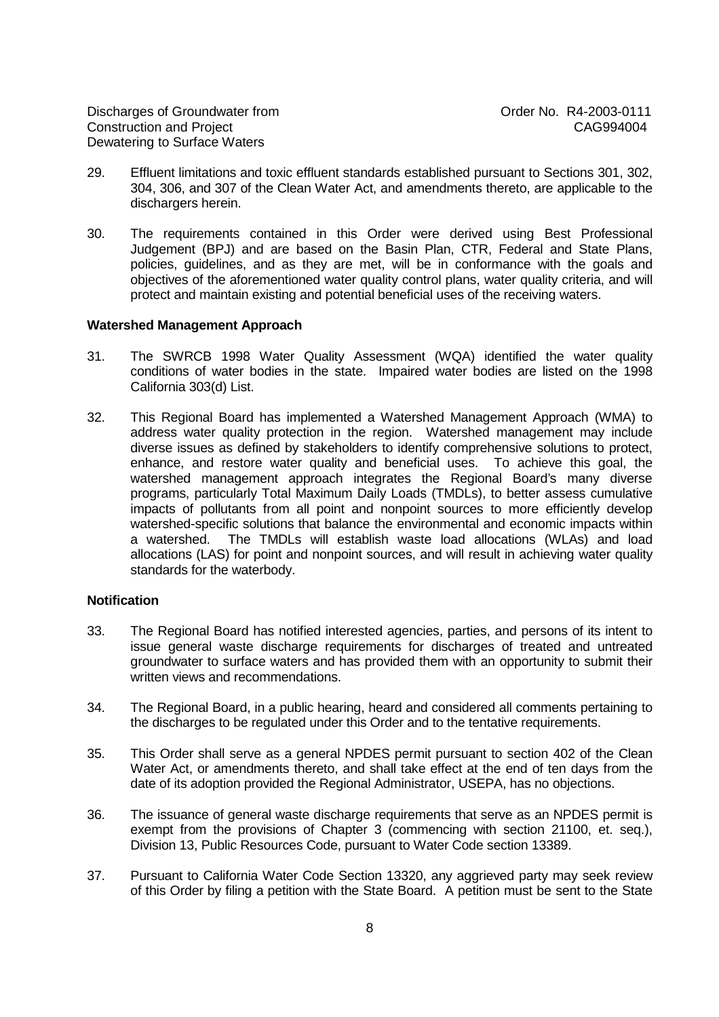Discharges of Groundwater from  $O(11)$  Order No. R4-2003-0111 Construction and Project CAG994004 Dewatering to Surface Waters

- 29. Effluent limitations and toxic effluent standards established pursuant to Sections 301, 302, 304, 306, and 307 of the Clean Water Act, and amendments thereto, are applicable to the dischargers herein.
- 30. The requirements contained in this Order were derived using Best Professional Judgement (BPJ) and are based on the Basin Plan, CTR, Federal and State Plans, policies, guidelines, and as they are met, will be in conformance with the goals and objectives of the aforementioned water quality control plans, water quality criteria, and will protect and maintain existing and potential beneficial uses of the receiving waters.

#### **Watershed Management Approach**

- 31. The SWRCB 1998 Water Quality Assessment (WQA) identified the water quality conditions of water bodies in the state. Impaired water bodies are listed on the 1998 California 303(d) List.
- 32. This Regional Board has implemented a Watershed Management Approach (WMA) to address water quality protection in the region. Watershed management may include diverse issues as defined by stakeholders to identify comprehensive solutions to protect, enhance, and restore water quality and beneficial uses. To achieve this goal, the watershed management approach integrates the Regional Board's many diverse programs, particularly Total Maximum Daily Loads (TMDLs), to better assess cumulative impacts of pollutants from all point and nonpoint sources to more efficiently develop watershed-specific solutions that balance the environmental and economic impacts within a watershed. The TMDLs will establish waste load allocations (WLAs) and load allocations (LAS) for point and nonpoint sources, and will result in achieving water quality standards for the waterbody.

#### **Notification**

- 33. The Regional Board has notified interested agencies, parties, and persons of its intent to issue general waste discharge requirements for discharges of treated and untreated groundwater to surface waters and has provided them with an opportunity to submit their written views and recommendations.
- 34. The Regional Board, in a public hearing, heard and considered all comments pertaining to the discharges to be regulated under this Order and to the tentative requirements.
- 35. This Order shall serve as a general NPDES permit pursuant to section 402 of the Clean Water Act, or amendments thereto, and shall take effect at the end of ten days from the date of its adoption provided the Regional Administrator, USEPA, has no objections.
- 36. The issuance of general waste discharge requirements that serve as an NPDES permit is exempt from the provisions of Chapter 3 (commencing with section 21100, et. seq.), Division 13, Public Resources Code, pursuant to Water Code section 13389.
- 37. Pursuant to California Water Code Section 13320, any aggrieved party may seek review of this Order by filing a petition with the State Board. A petition must be sent to the State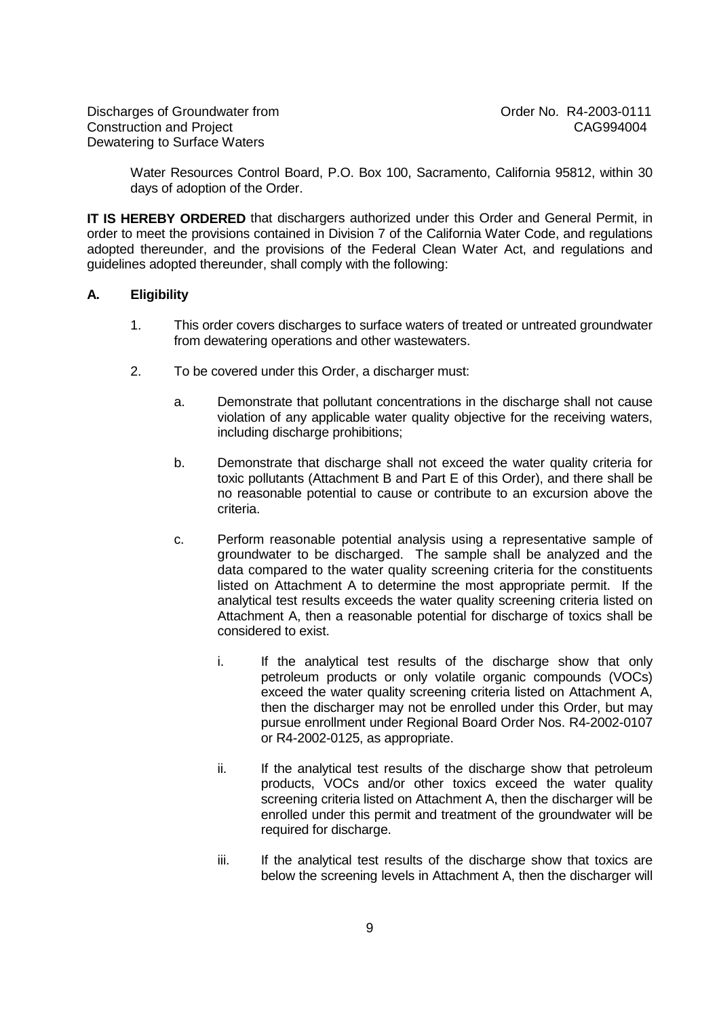Water Resources Control Board, P.O. Box 100, Sacramento, California 95812, within 30 days of adoption of the Order.

**IT IS HEREBY ORDERED** that dischargers authorized under this Order and General Permit, in order to meet the provisions contained in Division 7 of the California Water Code, and regulations adopted thereunder, and the provisions of the Federal Clean Water Act, and regulations and guidelines adopted thereunder, shall comply with the following:

## **A. Eligibility**

- 1. This order covers discharges to surface waters of treated or untreated groundwater from dewatering operations and other wastewaters.
- 2. To be covered under this Order, a discharger must:
	- a. Demonstrate that pollutant concentrations in the discharge shall not cause violation of any applicable water quality objective for the receiving waters, including discharge prohibitions;
	- b. Demonstrate that discharge shall not exceed the water quality criteria for toxic pollutants (Attachment B and Part E of this Order), and there shall be no reasonable potential to cause or contribute to an excursion above the criteria.
	- c. Perform reasonable potential analysis using a representative sample of groundwater to be discharged. The sample shall be analyzed and the data compared to the water quality screening criteria for the constituents listed on Attachment A to determine the most appropriate permit. If the analytical test results exceeds the water quality screening criteria listed on Attachment A, then a reasonable potential for discharge of toxics shall be considered to exist.
		- i. If the analytical test results of the discharge show that only petroleum products or only volatile organic compounds (VOCs) exceed the water quality screening criteria listed on Attachment A, then the discharger may not be enrolled under this Order, but may pursue enrollment under Regional Board Order Nos. R4-2002-0107 or R4-2002-0125, as appropriate.
		- ii. If the analytical test results of the discharge show that petroleum products, VOCs and/or other toxics exceed the water quality screening criteria listed on Attachment A, then the discharger will be enrolled under this permit and treatment of the groundwater will be required for discharge.
		- iii. If the analytical test results of the discharge show that toxics are below the screening levels in Attachment A, then the discharger will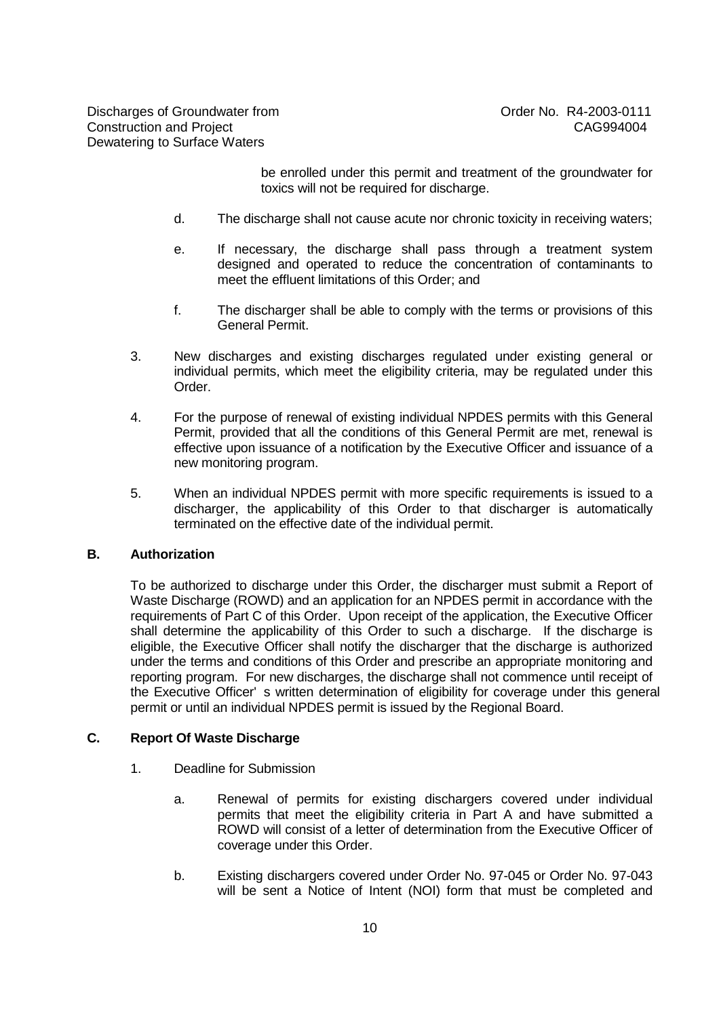be enrolled under this permit and treatment of the groundwater for toxics will not be required for discharge.

- d. The discharge shall not cause acute nor chronic toxicity in receiving waters;
- e. If necessary, the discharge shall pass through a treatment system designed and operated to reduce the concentration of contaminants to meet the effluent limitations of this Order; and
- f. The discharger shall be able to comply with the terms or provisions of this General Permit.
- 3. New discharges and existing discharges regulated under existing general or individual permits, which meet the eligibility criteria, may be regulated under this Order.
- 4. For the purpose of renewal of existing individual NPDES permits with this General Permit, provided that all the conditions of this General Permit are met, renewal is effective upon issuance of a notification by the Executive Officer and issuance of a new monitoring program.
- 5. When an individual NPDES permit with more specific requirements is issued to a discharger, the applicability of this Order to that discharger is automatically terminated on the effective date of the individual permit.

# **B. Authorization**

To be authorized to discharge under this Order, the discharger must submit a Report of Waste Discharge (ROWD) and an application for an NPDES permit in accordance with the requirements of Part C of this Order. Upon receipt of the application, the Executive Officer shall determine the applicability of this Order to such a discharge. If the discharge is eligible, the Executive Officer shall notify the discharger that the discharge is authorized under the terms and conditions of this Order and prescribe an appropriate monitoring and reporting program. For new discharges, the discharge shall not commence until receipt of the Executive Officer' s written determination of eligibility for coverage under this general permit or until an individual NPDES permit is issued by the Regional Board.

# **C. Report Of Waste Discharge**

- 1. Deadline for Submission
	- a. Renewal of permits for existing dischargers covered under individual permits that meet the eligibility criteria in Part A and have submitted a ROWD will consist of a letter of determination from the Executive Officer of coverage under this Order.
	- b. Existing dischargers covered under Order No. 97-045 or Order No. 97-043 will be sent a Notice of Intent (NOI) form that must be completed and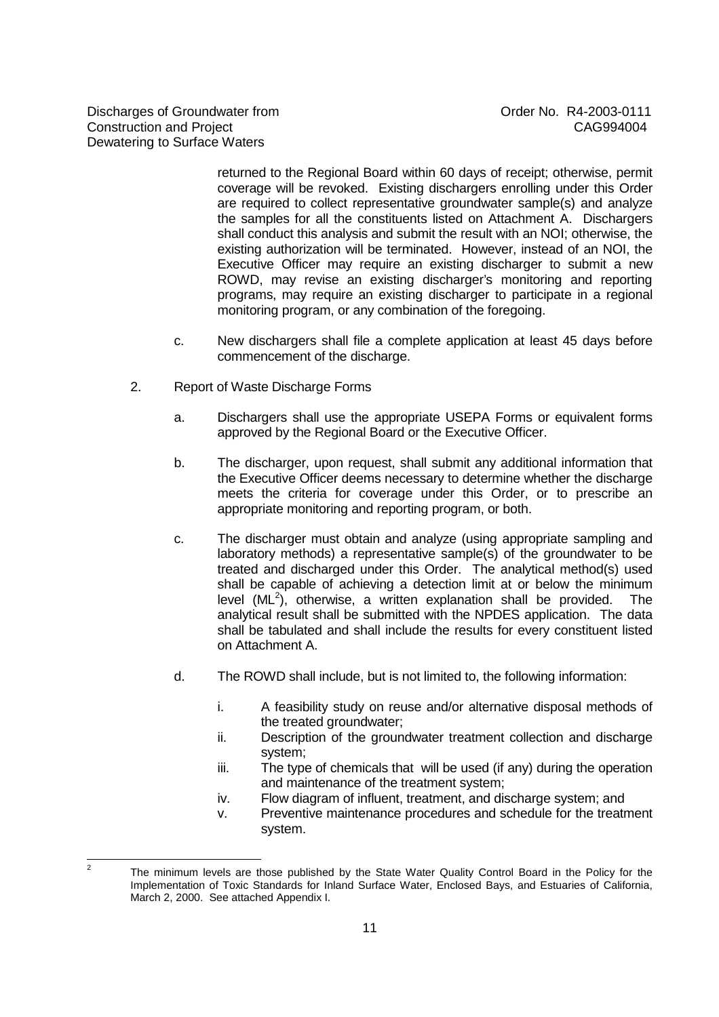returned to the Regional Board within 60 days of receipt; otherwise, permit coverage will be revoked. Existing dischargers enrolling under this Order are required to collect representative groundwater sample(s) and analyze the samples for all the constituents listed on Attachment A. Dischargers shall conduct this analysis and submit the result with an NOI; otherwise, the existing authorization will be terminated. However, instead of an NOI, the Executive Officer may require an existing discharger to submit a new ROWD, may revise an existing discharger's monitoring and reporting programs, may require an existing discharger to participate in a regional monitoring program, or any combination of the foregoing.

- c. New dischargers shall file a complete application at least 45 days before commencement of the discharge.
- 2. Report of Waste Discharge Forms
	- a. Dischargers shall use the appropriate USEPA Forms or equivalent forms approved by the Regional Board or the Executive Officer.
	- b. The discharger, upon request, shall submit any additional information that the Executive Officer deems necessary to determine whether the discharge meets the criteria for coverage under this Order, or to prescribe an appropriate monitoring and reporting program, or both.
	- c. The discharger must obtain and analyze (using appropriate sampling and laboratory methods) a representative sample(s) of the groundwater to be treated and discharged under this Order. The analytical method(s) used shall be capable of achieving a detection limit at or below the minimum level  $(ML^2)$ , otherwise, a written explanation shall be provided. The analytical result shall be submitted with the NPDES application. The data shall be tabulated and shall include the results for every constituent listed on Attachment A.
	- d. The ROWD shall include, but is not limited to, the following information:
		- i. A feasibility study on reuse and/or alternative disposal methods of the treated groundwater;
		- ii. Description of the groundwater treatment collection and discharge system;
		- iii. The type of chemicals that will be used (if any) during the operation and maintenance of the treatment system;
		- iv. Flow diagram of influent, treatment, and discharge system; and
		- v. Preventive maintenance procedures and schedule for the treatment system.

 $\frac{1}{2}$ The minimum levels are those published by the State Water Quality Control Board in the Policy for the Implementation of Toxic Standards for Inland Surface Water, Enclosed Bays, and Estuaries of California, March 2, 2000. See attached Appendix I.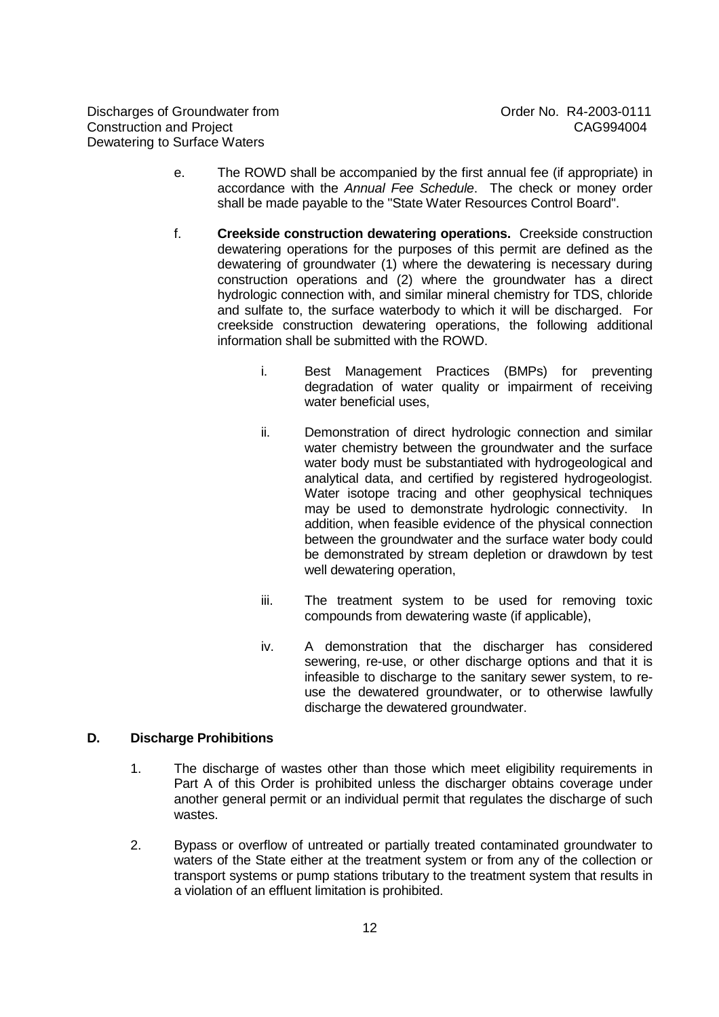- e. The ROWD shall be accompanied by the first annual fee (if appropriate) in accordance with the Annual Fee Schedule. The check or money order shall be made payable to the "State Water Resources Control Board".
- f. **Creekside construction dewatering operations.** Creekside construction dewatering operations for the purposes of this permit are defined as the dewatering of groundwater (1) where the dewatering is necessary during construction operations and (2) where the groundwater has a direct hydrologic connection with, and similar mineral chemistry for TDS, chloride and sulfate to, the surface waterbody to which it will be discharged. For creekside construction dewatering operations, the following additional information shall be submitted with the ROWD.
	- i. Best Management Practices (BMPs) for preventing degradation of water quality or impairment of receiving water beneficial uses,
	- ii. Demonstration of direct hydrologic connection and similar water chemistry between the groundwater and the surface water body must be substantiated with hydrogeological and analytical data, and certified by registered hydrogeologist. Water isotope tracing and other geophysical techniques may be used to demonstrate hydrologic connectivity. In addition, when feasible evidence of the physical connection between the groundwater and the surface water body could be demonstrated by stream depletion or drawdown by test well dewatering operation,
	- iii. The treatment system to be used for removing toxic compounds from dewatering waste (if applicable),
	- iv. A demonstration that the discharger has considered sewering, re-use, or other discharge options and that it is infeasible to discharge to the sanitary sewer system, to reuse the dewatered groundwater, or to otherwise lawfully discharge the dewatered groundwater.

# **D. Discharge Prohibitions**

- 1. The discharge of wastes other than those which meet eligibility requirements in Part A of this Order is prohibited unless the discharger obtains coverage under another general permit or an individual permit that regulates the discharge of such wastes.
- 2. Bypass or overflow of untreated or partially treated contaminated groundwater to waters of the State either at the treatment system or from any of the collection or transport systems or pump stations tributary to the treatment system that results in a violation of an effluent limitation is prohibited.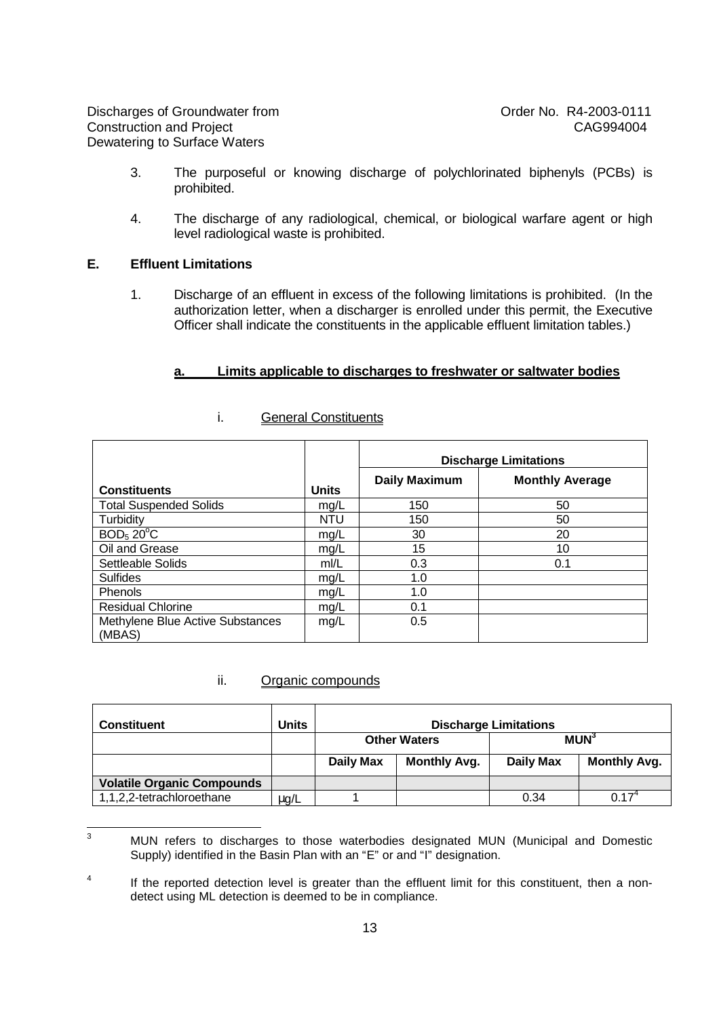Discharges of Groundwater from  $C$  Order No. R4-2003-0111<br>Construction and Project Construction and Project Construction and Project Dewatering to Surface Waters

- 3. The purposeful or knowing discharge of polychlorinated biphenyls (PCBs) is prohibited.
- 4. The discharge of any radiological, chemical, or biological warfare agent or high level radiological waste is prohibited.

# **E. Effluent Limitations**

1. Discharge of an effluent in excess of the following limitations is prohibited. (In the authorization letter, when a discharger is enrolled under this permit, the Executive Officer shall indicate the constituents in the applicable effluent limitation tables.)

#### **a. Limits applicable to discharges to freshwater or saltwater bodies**

|                                            |              | <b>Discharge Limitations</b> |                        |  |
|--------------------------------------------|--------------|------------------------------|------------------------|--|
| <b>Constituents</b>                        | <b>Units</b> | <b>Daily Maximum</b>         | <b>Monthly Average</b> |  |
| <b>Total Suspended Solids</b>              | mg/L         | 150                          | 50                     |  |
| Turbidity                                  | <b>NTU</b>   | 150                          | 50                     |  |
| BOD <sub>5</sub> 20 <sup>o</sup> C         | mg/L         | 30                           | 20                     |  |
| Oil and Grease                             | mg/L         | 15                           | 10                     |  |
| Settleable Solids                          | m/L          | 0.3                          | 0.1                    |  |
| <b>Sulfides</b>                            | mg/L         | 1.0                          |                        |  |
| <b>Phenols</b>                             | mg/L         | 1.0                          |                        |  |
| <b>Residual Chlorine</b>                   | mg/L         | 0.1                          |                        |  |
| Methylene Blue Active Substances<br>(MBAS) | mg/L         | 0.5                          |                        |  |

# i. General Constituents

#### ii. Organic compounds

| <b>Constituent</b>                | Units     | <b>Discharge Limitations</b> |                     |                        |                     |  |
|-----------------------------------|-----------|------------------------------|---------------------|------------------------|---------------------|--|
|                                   |           | <b>Other Waters</b>          |                     | <b>MUN<sup>3</sup></b> |                     |  |
|                                   |           | <b>Daily Max</b>             | <b>Monthly Avg.</b> | <b>Daily Max</b>       | <b>Monthly Avg.</b> |  |
| <b>Volatile Organic Compounds</b> |           |                              |                     |                        |                     |  |
| 1,1,2,2-tetrachloroethane         | $\mu$ g/L |                              |                     | 0.34                   | N 17                |  |

 $\overline{3}$ <sup>3</sup> MUN refers to discharges to those waterbodies designated MUN (Municipal and Domestic Supply) identified in the Basin Plan with an "E" or and "I" designation.

<sup>4</sup> If the reported detection level is greater than the effluent limit for this constituent, then a nondetect using ML detection is deemed to be in compliance.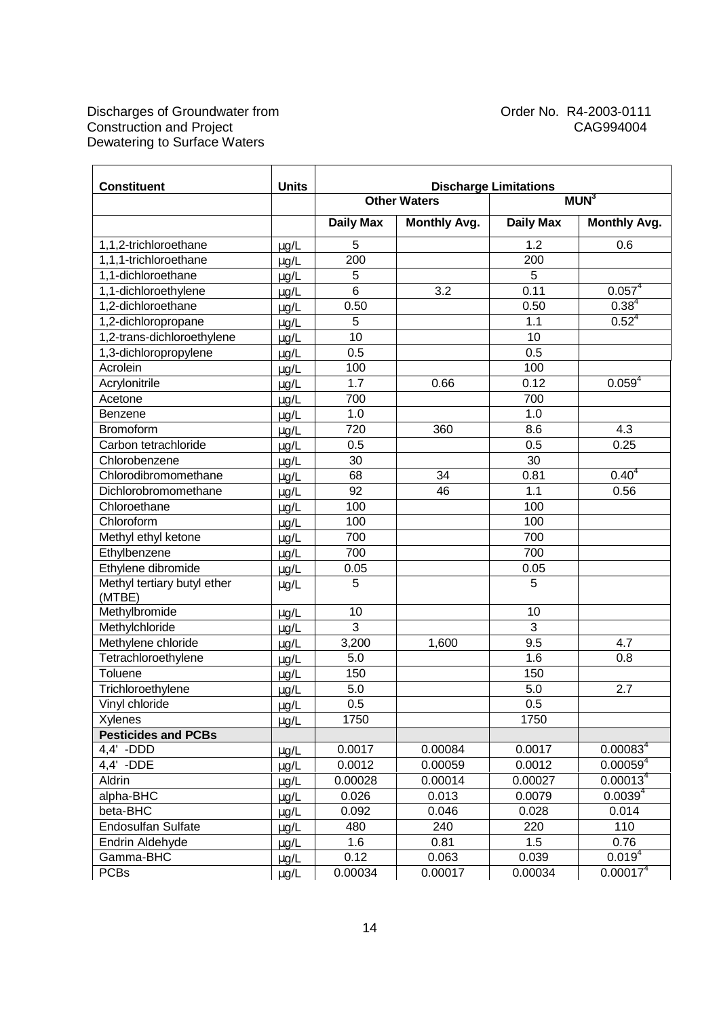| <b>Constituent</b>                    | <b>Units</b> | <b>Discharge Limitations</b> |                     |                  |                      |  |
|---------------------------------------|--------------|------------------------------|---------------------|------------------|----------------------|--|
|                                       |              |                              | <b>Other Waters</b> | MUN <sup>3</sup> |                      |  |
|                                       |              | <b>Daily Max</b>             | <b>Monthly Avg.</b> | <b>Daily Max</b> | <b>Monthly Avg.</b>  |  |
| 1,1,2-trichloroethane                 | $\mu$ g/L    | 5                            |                     | 1.2              | 0.6                  |  |
| 1,1,1-trichloroethane                 | µg/L         | 200                          |                     | 200              |                      |  |
| 1,1-dichloroethane                    | µg/L         | 5                            |                     | 5                |                      |  |
| 1,1-dichloroethylene                  | µg/L         | 6                            | 3.2                 | 0.11             | $0.057^4$            |  |
| 1,2-dichloroethane                    | µg/L         | 0.50                         |                     | 0.50             | $0.38^{4}$           |  |
| 1,2-dichloropropane                   | µg/L         | 5                            |                     | 1.1              | $0.52^{4}$           |  |
| 1,2-trans-dichloroethylene            | µg/L         | 10                           |                     | 10               |                      |  |
| 1,3-dichloropropylene                 | µg/L         | 0.5                          |                     | 0.5              |                      |  |
| Acrolein                              | µg/L         | 100                          |                     | 100              |                      |  |
| Acrylonitrile                         | µg/L         | 1.7                          | 0.66                | 0.12             | $0.059^{4}$          |  |
| Acetone                               | µg/L         | 700                          |                     | 700              |                      |  |
| Benzene                               | µg/L         | 1.0                          |                     | 1.0              |                      |  |
| <b>Bromoform</b>                      | µg/L         | 720                          | 360                 | 8.6              | 4.3                  |  |
| Carbon tetrachloride                  | µg/L         | 0.5                          |                     | 0.5              | 0.25                 |  |
| Chlorobenzene                         | µg/L         | 30                           |                     | 30               |                      |  |
| Chlorodibromomethane                  | µg/L         | 68                           | 34                  | 0.81             | $0.40^{4}$           |  |
| Dichlorobromomethane                  | µg/L         | 92                           | 46                  | 1.1              | 0.56                 |  |
| Chloroethane                          | µg/L         | 100                          |                     | 100              |                      |  |
| Chloroform                            | µg/L         | 100                          |                     | 100              |                      |  |
| Methyl ethyl ketone                   | µg/L         | 700                          |                     | 700              |                      |  |
| Ethylbenzene                          | µg/L         | 700                          |                     | 700              |                      |  |
| Ethylene dibromide                    | µg/L         | 0.05                         |                     | 0.05             |                      |  |
| Methyl tertiary butyl ether<br>(MTBE) | $\mu$ g/L    | 5                            |                     | 5                |                      |  |
| Methylbromide                         | µg/L         | 10                           |                     | 10               |                      |  |
| Methylchloride                        | µg/L         | $\overline{3}$               |                     | $\overline{3}$   |                      |  |
| Methylene chloride                    | µg/L         | 3,200                        | 1,600               | 9.5              | 4.7                  |  |
| Tetrachloroethylene                   | µg/L         | 5.0                          |                     | 1.6              | 0.8                  |  |
| Toluene                               | $\mu$ g/L    | 150                          |                     | 150              |                      |  |
| Trichloroethylene                     | µg/L         | 5.0                          |                     | 5.0              | 2.7                  |  |
| Vinyl chloride                        | µg/L         | 0.5                          |                     | $0.5\,$          |                      |  |
| Xylenes                               | $\mu$ g/L    | 1750                         |                     | 1750             |                      |  |
| <b>Pesticides and PCBs</b>            |              |                              |                     |                  |                      |  |
| 4,4' -DDD                             | $\mu$ g/L    | 0.0017                       | 0.00084             | 0.0017           | $0.00083^{4}$        |  |
| 4,4' -DDE                             | µg/L         | 0.0012                       | 0.00059             | 0.0012           | $0.00059^{4}$        |  |
| Aldrin                                | µg/L         | 0.00028                      | 0.00014             | 0.00027          | 0.00013 <sup>4</sup> |  |
| alpha-BHC                             | µg/L         | 0.026                        | 0.013               | 0.0079           | $0.0039^{4}$         |  |
| beta-BHC                              | $\mu$ g/L    | 0.092                        | 0.046               | 0.028            | 0.014                |  |
| <b>Endosulfan Sulfate</b>             | $\mu$ g/L    | 480                          | 240                 | 220              | 110                  |  |
| Endrin Aldehyde                       | µg/L         | 1.6                          | 0.81                | 1.5              | 0.76                 |  |
| Gamma-BHC                             | µg/L         | 0.12                         | 0.063               | 0.039            | $0.019^{4}$          |  |
| <b>PCBs</b>                           | $\mu$ g/L    | 0.00034                      | 0.00017             | 0.00034          | 0.00017 <sup>4</sup> |  |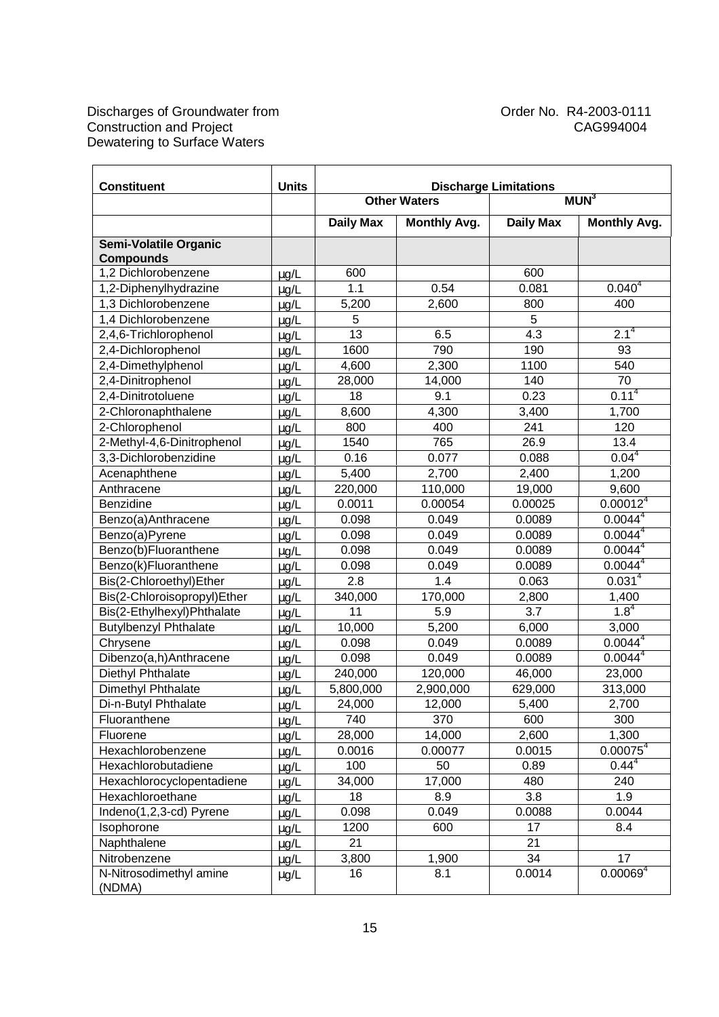| <b>Constituent</b>                      | <b>Units</b>           | <b>Discharge Limitations</b> |                     |                  |                      |
|-----------------------------------------|------------------------|------------------------------|---------------------|------------------|----------------------|
|                                         |                        |                              | <b>Other Waters</b> |                  | MUN <sup>3</sup>     |
|                                         |                        | Daily Max                    | <b>Monthly Avg.</b> | <b>Daily Max</b> | <b>Monthly Avg.</b>  |
| Semi-Volatile Organic                   |                        |                              |                     |                  |                      |
| <b>Compounds</b><br>1,2 Dichlorobenzene |                        | 600                          |                     | 600              |                      |
| 1,2-Diphenylhydrazine                   | $\mu$ g/L              | 1.1                          | 0.54                | 0.081            | $0.040^{4}$          |
| 1,3 Dichlorobenzene                     | µg/L                   | 5,200                        | 2,600               | 800              | 400                  |
| 1,4 Dichlorobenzene                     | µg/L<br>µg/L           | 5                            |                     | 5                |                      |
| 2,4,6-Trichlorophenol                   | µg/L                   | 13                           | 6.5                 | 4.3              | $2.1^{4}$            |
| 2,4-Dichlorophenol                      |                        | 1600                         | 790                 | 190              | 93                   |
| 2,4-Dimethylphenol                      | µg/L<br>µg/L           | 4,600                        | 2,300               | 1100             | 540                  |
| 2,4-Dinitrophenol                       | µg/L                   | 28,000                       | 14,000              | 140              | $\overline{70}$      |
| 2,4-Dinitrotoluene                      | µg/L                   | 18                           | 9.1                 | 0.23             | $0.11^{4}$           |
| 2-Chloronaphthalene                     |                        | 8,600                        | 4,300               | 3,400            | 1,700                |
| 2-Chlorophenol                          | µg/L<br>µg/L           | 800                          | 400                 | 241              | 120                  |
| 2-Methyl-4,6-Dinitrophenol              |                        | 1540                         | 765                 | 26.9             | 13.4                 |
| 3,3-Dichlorobenzidine                   | $\mu$ g/L<br>µg/L      | 0.16                         | 0.077               | 0.088            | 0.04 <sup>4</sup>    |
| Acenaphthene                            | µg/L                   | 5,400                        | 2,700               | 2,400            | 1,200                |
| Anthracene                              |                        | 220,000                      | 110,000             | 19,000           | 9,600                |
| Benzidine                               | µg/L<br>µg/L           | 0.0011                       | 0.00054             | 0.00025          | 0.00012 <sup>4</sup> |
| Benzo(a)Anthracene                      | µg/L                   | 0.098                        | 0.049               | 0.0089           | 0.0044 <sup>4</sup>  |
| Benzo(a)Pyrene                          |                        | 0.098                        | 0.049               | 0.0089           | 0.0044 <sup>4</sup>  |
| Benzo(b)Fluoranthene                    | µg/L                   | 0.098                        | 0.049               | 0.0089           | $0.0044^{4}$         |
| Benzo(k)Fluoranthene                    | µg/L<br>µg/L           | 0.098                        | 0.049               | 0.0089           | $0.0044^4$           |
| Bis(2-Chloroethyl)Ether                 |                        | 2.8                          | 1.4                 | 0.063            | 0.031 <sup>4</sup>   |
| Bis(2-Chloroisopropyl)Ether             | µg/L                   | 340,000                      | 170,000             | 2,800            | 1,400                |
| Bis(2-Ethylhexyl)Phthalate              | µg/L                   | 11                           | 5.9                 | $\overline{3.7}$ | $1.8^{4}$            |
| <b>Butylbenzyl Phthalate</b>            | µg/L<br>$\mu$ g/L      | 10,000                       | 5,200               | 6,000            | 3,000                |
| Chrysene                                | µg/L                   | 0.098                        | 0.049               | 0.0089           | $0.0044^{4}$         |
| Dibenzo(a,h)Anthracene                  | µg/L                   | 0.098                        | 0.049               | 0.0089           | $0.0044^4$           |
| Diethyl Phthalate                       |                        | 240,000                      | 120,000             | 46,000           | 23,000               |
| Dimethyl Phthalate                      | $\mu$ g/L              | 5,800,000                    | 2,900,000           | 629,000          | 313,000              |
| Di-n-Butyl Phthalate                    | $\mu$ g/L<br>$\mu$ g/L | 24,000                       | 12,000              | 5,400            | 2,700                |
| Fluoranthene                            | $\mu$ g/L              | 740                          | 370                 | 600              | 300                  |
| Fluorene                                | $\mu$ g/L              | 28,000                       | 14,000              | 2,600            | 1,300                |
| Hexachlorobenzene                       | $\mu$ g/L              | 0.0016                       | 0.00077             | 0.0015           | $0.00075^{4}$        |
| Hexachlorobutadiene                     | $\mu$ g/L              | 100                          | 50                  | 0.89             | $0.44^{4}$           |
| Hexachlorocyclopentadiene               | µg/L                   | 34,000                       | 17,000              | 480              | 240                  |
| Hexachloroethane                        | $\mu$ g/L              | 18                           | 8.9                 | 3.8              | 1.9                  |
| Indeno(1,2,3-cd) Pyrene                 | $\mu$ g/L              | 0.098                        | 0.049               | 0.0088           | 0.0044               |
| Isophorone                              | $\mu$ g/L              | 1200                         | 600                 | 17               | 8.4                  |
| Naphthalene                             | µg/L                   | 21                           |                     | 21               |                      |
| Nitrobenzene                            | $\mu$ g/L              | 3,800                        | 1,900               | 34               | 17                   |
| N-Nitrosodimethyl amine                 | µg/L                   | 16                           | 8.1                 | 0.0014           | 0.00069 <sup>4</sup> |
| (NDMA)                                  |                        |                              |                     |                  |                      |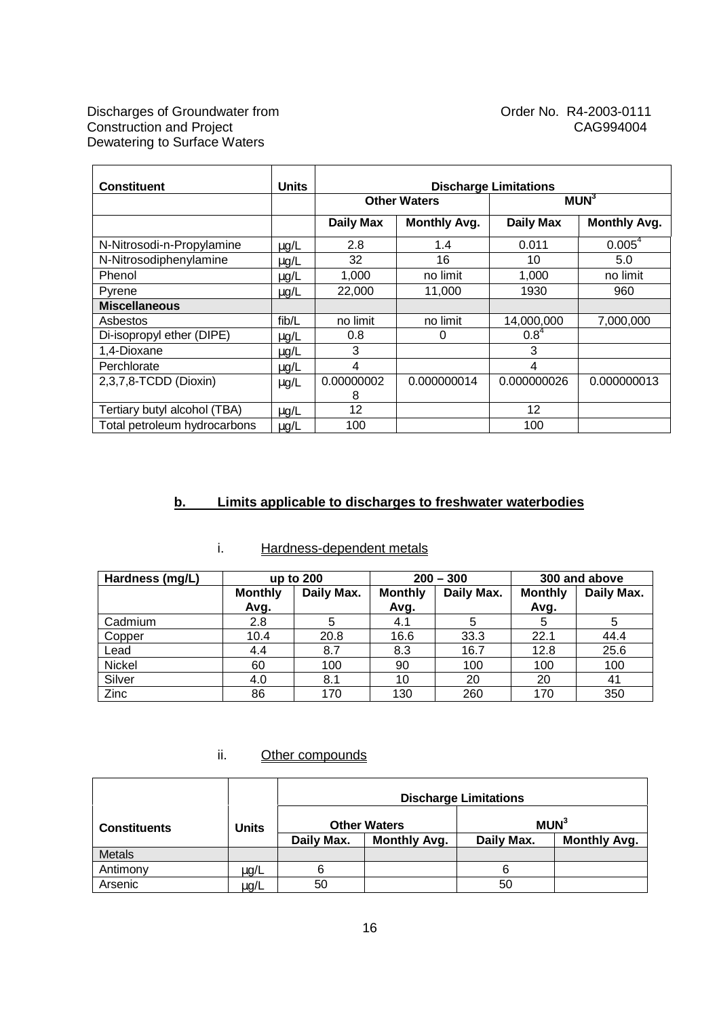| <b>Constituent</b>           | <b>Units</b> | <b>Discharge Limitations</b> |                     |                  |                     |  |
|------------------------------|--------------|------------------------------|---------------------|------------------|---------------------|--|
|                              |              |                              | <b>Other Waters</b> |                  | MUN <sup>3</sup>    |  |
|                              |              | <b>Daily Max</b>             | <b>Monthly Avg.</b> | <b>Daily Max</b> | <b>Monthly Avg.</b> |  |
| N-Nitrosodi-n-Propylamine    | $\mu$ g/L    | 2.8                          | 1.4                 | 0.011            | $0.005^{4}$         |  |
| N-Nitrosodiphenylamine       | $\mu$ g/L    | 32                           | 16                  | 10               | 5.0                 |  |
| Phenol                       | $\mu$ g/L    | 1,000                        | no limit            | 1,000            | no limit            |  |
| Pyrene                       | $\mu$ g/L    | 22,000                       | 11,000              | 1930             | 960                 |  |
| <b>Miscellaneous</b>         |              |                              |                     |                  |                     |  |
| Asbestos                     | fib/L        | no limit                     | no limit            | 14,000,000       | 7,000,000           |  |
| Di-isopropyl ether (DIPE)    | $\mu$ g/L    | 0.8                          | 0                   | $0.8^{4}$        |                     |  |
| 1,4-Dioxane                  | $\mu$ g/L    | 3                            |                     | 3                |                     |  |
| Perchlorate                  | $\mu$ g/L    | 4                            |                     | 4                |                     |  |
| 2,3,7,8-TCDD (Dioxin)        | $\mu$ g/L    | 0.00000002                   | 0.000000014         | 0.000000026      | 0.000000013         |  |
|                              |              | 8                            |                     |                  |                     |  |
| Tertiary butyl alcohol (TBA) | $\mu$ g/L    | 12                           |                     | 12               |                     |  |
| Total petroleum hydrocarbons | $\mu$ g/L    | 100                          |                     | 100              |                     |  |

# **b. Limits applicable to discharges to freshwater waterbodies**

| Hardness (mg/L) |                | up to 200  |                | $200 - 300$ | 300 and above  |            |
|-----------------|----------------|------------|----------------|-------------|----------------|------------|
|                 | <b>Monthly</b> | Daily Max. | <b>Monthly</b> | Daily Max.  | <b>Monthly</b> | Daily Max. |
|                 | Avg.           |            | Avg.           |             | Avg.           |            |
| Cadmium         | 2.8            | 5          | 4.1            | 5           | 5              | 5          |
| Copper          | 10.4           | 20.8       | 16.6           | 33.3        | 22.1           | 44.4       |
| Lead            | 4.4            | 8.7        | 8.3            | 16.7        | 12.8           | 25.6       |
| Nickel          | 60             | 100        | 90             | 100         | 100            | 100        |
| Silver          | 4.0            | 8.1        | 10             | 20          | 20             | 41         |
| Zinc            | 86             | 170        | 130            | 260         | 170            | 350        |

# i. Hardness-dependent metals

# ii. Other compounds

|                     |              | <b>Discharge Limitations</b>      |                     |            |                     |  |
|---------------------|--------------|-----------------------------------|---------------------|------------|---------------------|--|
| <b>Constituents</b> | <b>Units</b> |                                   | <b>Other Waters</b> |            | MUN <sup>3</sup>    |  |
|                     |              | <b>Monthly Avg.</b><br>Daily Max. |                     | Daily Max. | <b>Monthly Avg.</b> |  |
| Metals              |              |                                   |                     |            |                     |  |
| Antimony            | μg/L         | 6                                 |                     | 6          |                     |  |
| Arsenic             | $\mu$ g/L    | 50                                |                     | 50         |                     |  |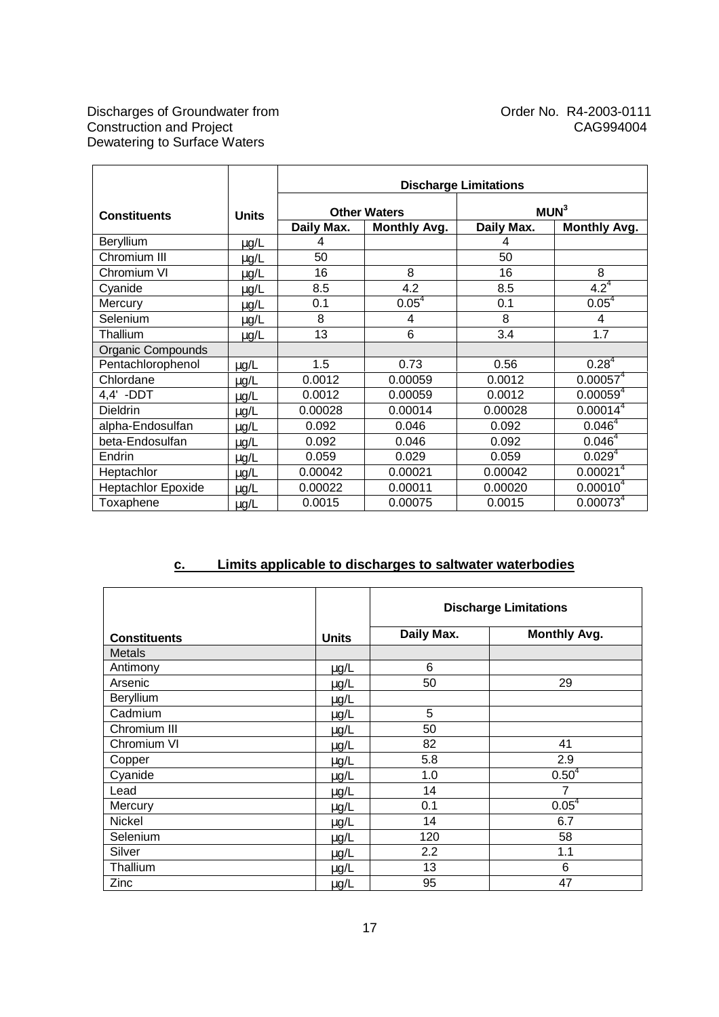|                           |              | <b>Discharge Limitations</b> |                     |                  |                        |
|---------------------------|--------------|------------------------------|---------------------|------------------|------------------------|
| <b>Constituents</b>       | <b>Units</b> |                              | <b>Other Waters</b> | MUN <sup>3</sup> |                        |
|                           |              | Daily Max.                   | <b>Monthly Avg.</b> | Daily Max.       | <b>Monthly Avg.</b>    |
| Beryllium                 | $\mu$ g/L    | 4                            |                     | 4                |                        |
| Chromium III              | $\mu$ g/L    | 50                           |                     | 50               |                        |
| Chromium VI               | $\mu$ g/L    | 16                           | 8                   | 16               | 8                      |
| Cyanide                   | $\mu$ g/L    | 8.5                          | 4.2                 | 8.5              | $4.2^4$                |
| Mercury                   | $\mu$ g/L    | 0.1                          | 0.05 <sup>4</sup>   | 0.1              | $0.05^{4}$             |
| Selenium                  | $\mu$ g/L    | 8                            | 4                   | 8                | 4                      |
| Thallium                  | $\mu$ g/L    | 13                           | 6                   | 3.4              | 1.7                    |
| Organic Compounds         |              |                              |                     |                  |                        |
| Pentachlorophenol         | $\mu$ g/L    | 1.5                          | 0.73                | 0.56             | $0.28^{4}$             |
| Chlordane                 | $\mu$ g/L    | 0.0012                       | 0.00059             | 0.0012           | 0.00057 <sup>4</sup>   |
| 4,4' -DDT                 | $\mu$ g/L    | 0.0012                       | 0.00059             | 0.0012           | 0.00059 <sup>4</sup>   |
| <b>Dieldrin</b>           | $\mu$ g/L    | 0.00028                      | 0.00014             | 0.00028          | 0.00014 <sup>4</sup>   |
| alpha-Endosulfan          | $\mu$ g/L    | 0.092                        | 0.046               | 0.092            | $0.046^{4}$            |
| beta-Endosulfan           | $\mu$ g/L    | 0.092                        | 0.046               | 0.092            | $0.046^{4}$            |
| Endrin                    | $\mu$ g/L    | 0.059                        | 0.029               | 0.059            | 0.029 <sup>4</sup>     |
| Heptachlor                | $\mu$ g/L    | 0.00042                      | 0.00021             | 0.00042          | 0.00021 <sup>4</sup>   |
| <b>Heptachlor Epoxide</b> | $\mu$ g/L    | 0.00022                      | 0.00011             | 0.00020          | $0.000\overline{10^4}$ |
| Toxaphene                 | $\mu$ g/L    | 0.0015                       | 0.00075             | 0.0015           | 0.00073 <sup>4</sup>   |

# **c. Limits applicable to discharges to saltwater waterbodies**

|                     |              | <b>Discharge Limitations</b> |                     |  |
|---------------------|--------------|------------------------------|---------------------|--|
| <b>Constituents</b> | <b>Units</b> | Daily Max.                   | <b>Monthly Avg.</b> |  |
| <b>Metals</b>       |              |                              |                     |  |
| Antimony            | $\mu$ g/L    | 6                            |                     |  |
| Arsenic             | $\mu$ g/L    | 50                           | 29                  |  |
| Beryllium           | $\mu$ g/L    |                              |                     |  |
| Cadmium             | $\mu$ g/L    | 5                            |                     |  |
| Chromium III        | $\mu$ g/L    | 50                           |                     |  |
| Chromium VI         | $\mu$ g/L    | 82                           | 41                  |  |
| Copper              | $\mu$ g/L    | 5.8                          | 2.9                 |  |
| Cyanide             | $\mu$ g/L    | 1.0                          | $0.50^{4}$          |  |
| Lead                | $\mu$ g/L    | 14                           | 7                   |  |
| Mercury             | $\mu$ g/L    | 0.1                          | 0.05 <sup>4</sup>   |  |
| Nickel              | $\mu$ g/L    | 14                           | 6.7                 |  |
| Selenium            | $\mu$ g/L    | 120                          | 58                  |  |
| Silver              | $\mu$ g/L    | 2.2                          | 1.1                 |  |
| Thallium            | $\mu$ g/L    | 13                           | 6                   |  |
| Zinc                | $\mu$ g/L    | 95                           | 47                  |  |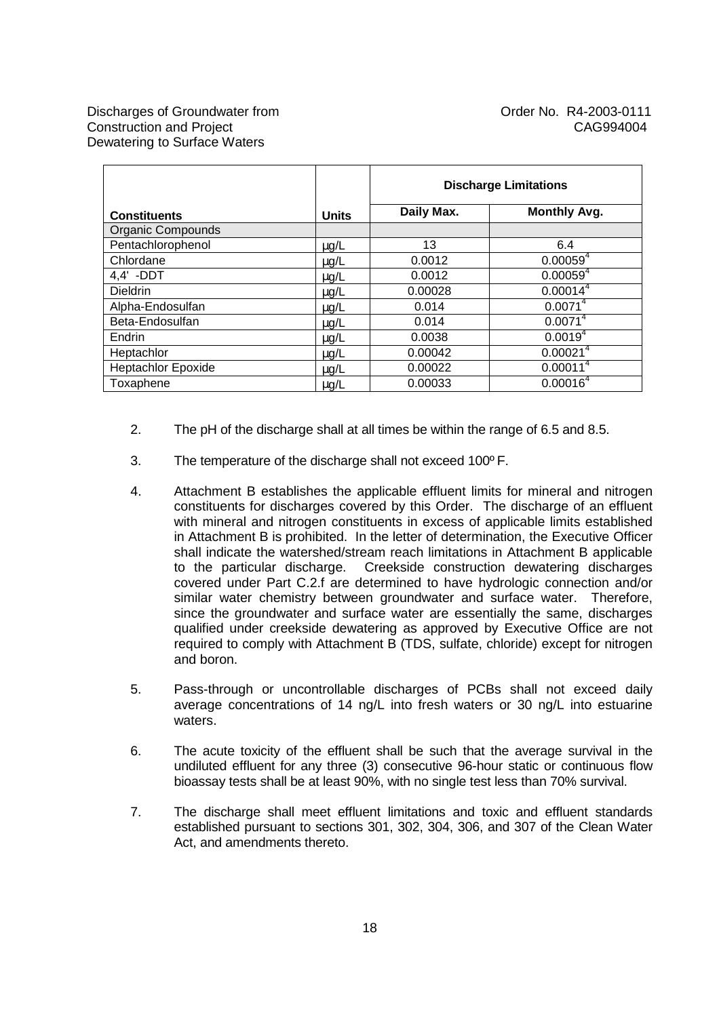|                           |              | <b>Discharge Limitations</b> |                      |
|---------------------------|--------------|------------------------------|----------------------|
| <b>Constituents</b>       | <b>Units</b> | Daily Max.                   | <b>Monthly Avg.</b>  |
| <b>Organic Compounds</b>  |              |                              |                      |
| Pentachlorophenol         | $\mu$ g/L    | 13                           | 6.4                  |
| Chlordane                 | $\mu$ g/L    | 0.0012                       | 0.00059 <sup>4</sup> |
| $4.4'$ -DDT               | $\mu$ g/L    | 0.0012                       | 0.00059 <sup>4</sup> |
| <b>Dieldrin</b>           | $\mu$ g/L    | 0.00028                      | 0.00014 <sup>4</sup> |
| Alpha-Endosulfan          | $\mu$ g/L    | 0.014                        | $0.0071^{4}$         |
| Beta-Endosulfan           | $\mu$ g/L    | 0.014                        | $0.0071^{4}$         |
| Endrin                    | $\mu$ g/L    | 0.0038                       | $0.0019^{4}$         |
| Heptachlor                | $\mu$ g/L    | 0.00042                      | 0.00021 <sup>4</sup> |
| <b>Heptachlor Epoxide</b> | $\mu$ g/L    | 0.00022                      | 0.00011 <sup>4</sup> |
| Toxaphene                 | $\mu$ g/L    | 0.00033                      | 0.00016 <sup>4</sup> |

- 2. The pH of the discharge shall at all times be within the range of 6.5 and 8.5.
- 3. The temperature of the discharge shall not exceed 100º F.
- 4. Attachment B establishes the applicable effluent limits for mineral and nitrogen constituents for discharges covered by this Order. The discharge of an effluent with mineral and nitrogen constituents in excess of applicable limits established in Attachment B is prohibited. In the letter of determination, the Executive Officer shall indicate the watershed/stream reach limitations in Attachment B applicable to the particular discharge. Creekside construction dewatering discharges covered under Part C.2.f are determined to have hydrologic connection and/or similar water chemistry between groundwater and surface water. Therefore, since the groundwater and surface water are essentially the same, discharges qualified under creekside dewatering as approved by Executive Office are not required to comply with Attachment B (TDS, sulfate, chloride) except for nitrogen and boron.
- 5. Pass-through or uncontrollable discharges of PCBs shall not exceed daily average concentrations of 14 ng/L into fresh waters or 30 ng/L into estuarine waters.
- 6. The acute toxicity of the effluent shall be such that the average survival in the undiluted effluent for any three (3) consecutive 96-hour static or continuous flow bioassay tests shall be at least 90%, with no single test less than 70% survival.
- 7. The discharge shall meet effluent limitations and toxic and effluent standards established pursuant to sections 301, 302, 304, 306, and 307 of the Clean Water Act, and amendments thereto.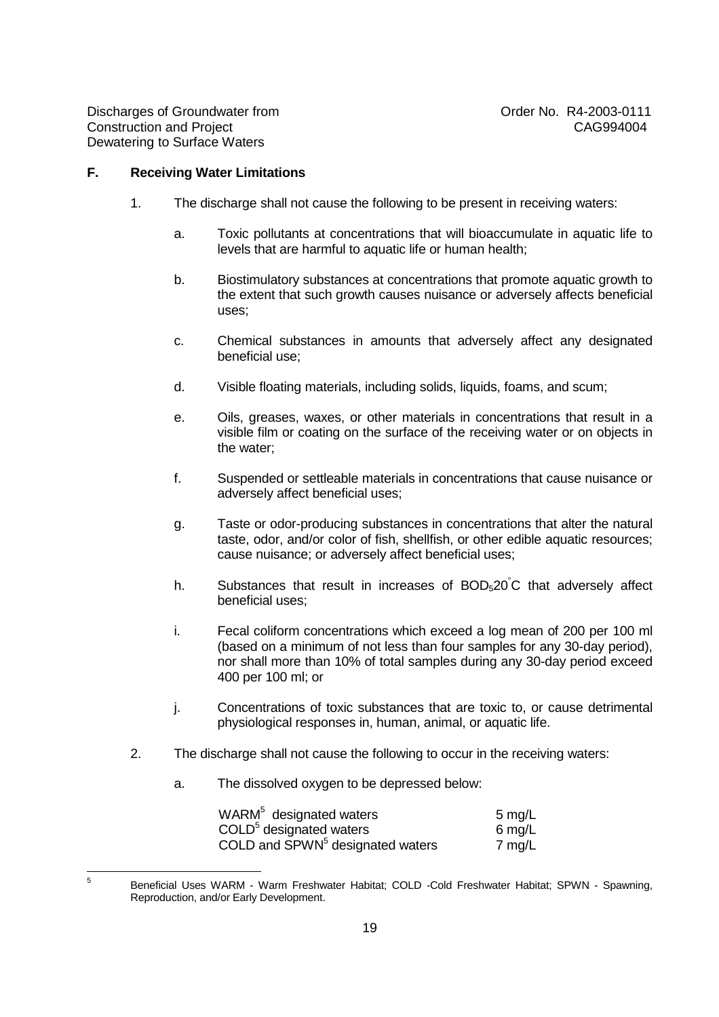—<br>5

#### **F. Receiving Water Limitations**

- 1. The discharge shall not cause the following to be present in receiving waters:
	- a. Toxic pollutants at concentrations that will bioaccumulate in aquatic life to levels that are harmful to aquatic life or human health;
	- b. Biostimulatory substances at concentrations that promote aquatic growth to the extent that such growth causes nuisance or adversely affects beneficial uses;
	- c. Chemical substances in amounts that adversely affect any designated beneficial use;
	- d. Visible floating materials, including solids, liquids, foams, and scum;
	- e. Oils, greases, waxes, or other materials in concentrations that result in a visible film or coating on the surface of the receiving water or on objects in the water;
	- f. Suspended or settleable materials in concentrations that cause nuisance or adversely affect beneficial uses;
	- g. Taste or odor-producing substances in concentrations that alter the natural taste, odor, and/or color of fish, shellfish, or other edible aquatic resources; cause nuisance; or adversely affect beneficial uses;
	- h. Substances that result in increases of  $BOD<sub>5</sub>20^{\circ}C$  that adversely affect beneficial uses;
	- i. Fecal coliform concentrations which exceed a log mean of 200 per 100 ml (based on a minimum of not less than four samples for any 30-day period), nor shall more than 10% of total samples during any 30-day period exceed 400 per 100 ml; or
	- j. Concentrations of toxic substances that are toxic to, or cause detrimental physiological responses in, human, animal, or aquatic life.
- 2. The discharge shall not cause the following to occur in the receiving waters:
	- a. The dissolved oxygen to be depressed below:

| WARM <sup>5</sup> designated waters          | 5 mg/L           |
|----------------------------------------------|------------------|
| COLD <sup>5</sup> designated waters          | $6 \text{ mg/L}$ |
| COLD and SPWN <sup>5</sup> designated waters | $7 \text{ mg/L}$ |

Beneficial Uses WARM - Warm Freshwater Habitat; COLD -Cold Freshwater Habitat; SPWN - Spawning, Reproduction, and/or Early Development.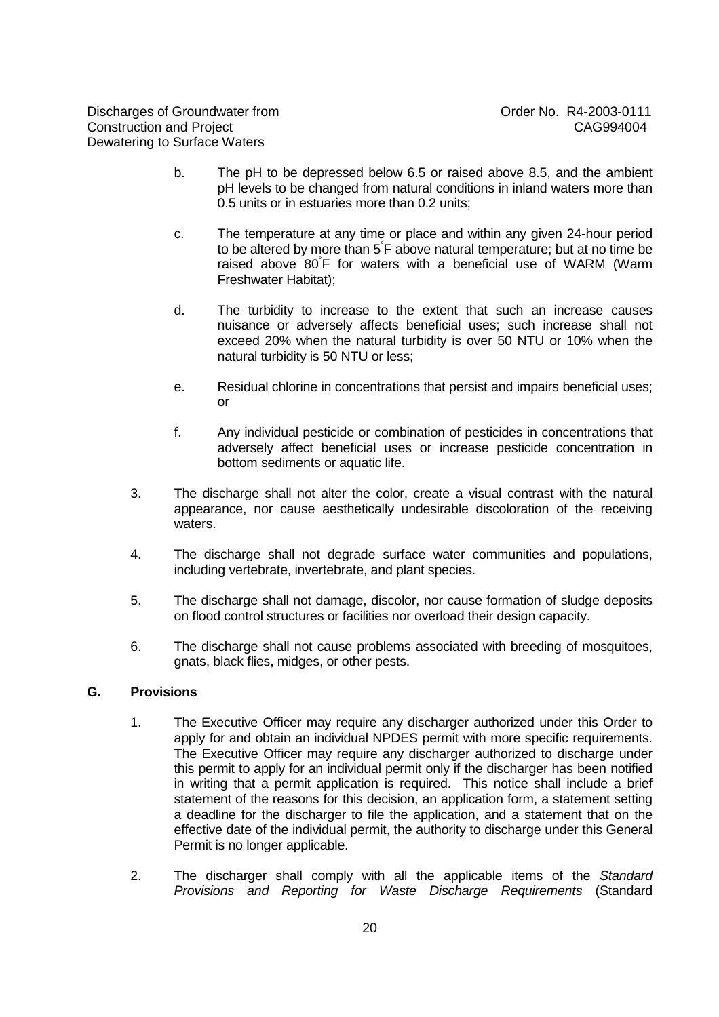- b. The pH to be depressed below 6.5 or raised above 8.5, and the ambient pH levels to be changed from natural conditions in inland waters more than 0.5 units or in estuaries more than 0.2 units;
- c. The temperature at any time or place and within any given 24-hour period to be altered by more than 5° F above natural temperature; but at no time be raised above 80° F for waters with a beneficial use of WARM (Warm Freshwater Habitat);
- d. The turbidity to increase to the extent that such an increase causes nuisance or adversely affects beneficial uses; such increase shall not exceed 20% when the natural turbidity is over 50 NTU or 10% when the natural turbidity is 50 NTU or less;
- e. Residual chlorine in concentrations that persist and impairs beneficial uses; or
- f. Any individual pesticide or combination of pesticides in concentrations that adversely affect beneficial uses or increase pesticide concentration in bottom sediments or aquatic life.
- 3. The discharge shall not alter the color, create a visual contrast with the natural appearance, nor cause aesthetically undesirable discoloration of the receiving waters.
- 4. The discharge shall not degrade surface water communities and populations, including vertebrate, invertebrate, and plant species.
- 5. The discharge shall not damage, discolor, nor cause formation of sludge deposits on flood control structures or facilities nor overload their design capacity.
- 6. The discharge shall not cause problems associated with breeding of mosquitoes, gnats, black flies, midges, or other pests.

#### **G. Provisions**

- 1. The Executive Officer may require any discharger authorized under this Order to apply for and obtain an individual NPDES permit with more specific requirements. The Executive Officer may require any discharger authorized to discharge under this permit to apply for an individual permit only if the discharger has been notified in writing that a permit application is required. This notice shall include a brief statement of the reasons for this decision, an application form, a statement setting a deadline for the discharger to file the application, and a statement that on the effective date of the individual permit, the authority to discharge under this General Permit is no longer applicable.
- 2. The discharger shall comply with all the applicable items of the Standard Provisions and Reporting for Waste Discharge Requirements (Standard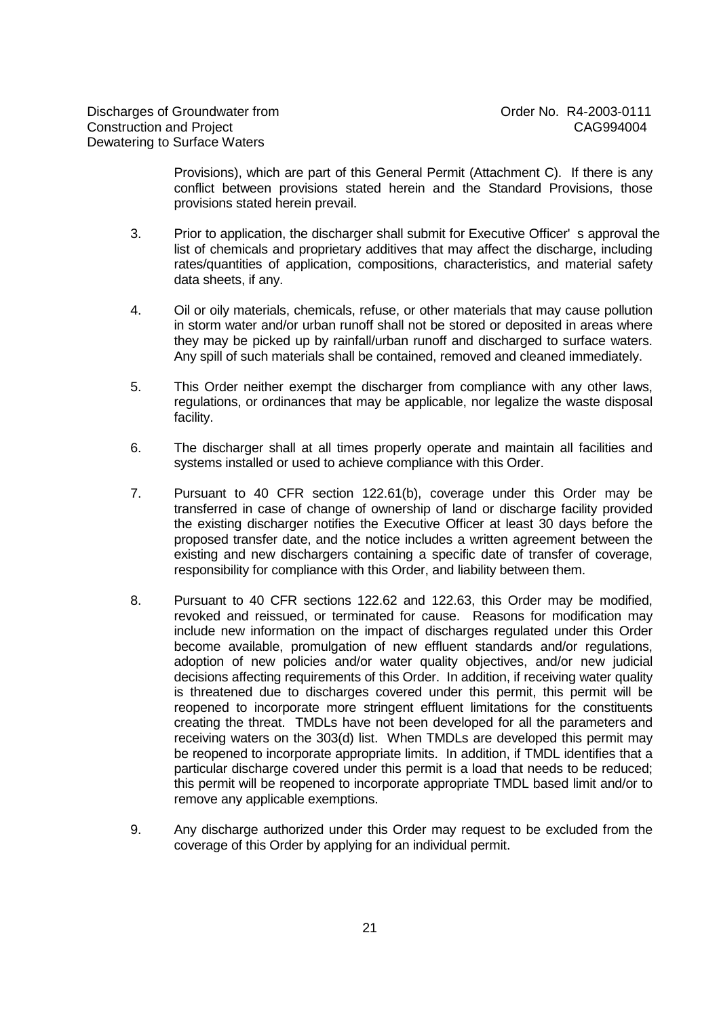Provisions), which are part of this General Permit (Attachment C). If there is any conflict between provisions stated herein and the Standard Provisions, those provisions stated herein prevail.

- 3. Prior to application, the discharger shall submit for Executive Officer' s approval the list of chemicals and proprietary additives that may affect the discharge, including rates/quantities of application, compositions, characteristics, and material safety data sheets, if any.
- 4. Oil or oily materials, chemicals, refuse, or other materials that may cause pollution in storm water and/or urban runoff shall not be stored or deposited in areas where they may be picked up by rainfall/urban runoff and discharged to surface waters. Any spill of such materials shall be contained, removed and cleaned immediately.
- 5. This Order neither exempt the discharger from compliance with any other laws, regulations, or ordinances that may be applicable, nor legalize the waste disposal facility.
- 6. The discharger shall at all times properly operate and maintain all facilities and systems installed or used to achieve compliance with this Order.
- 7. Pursuant to 40 CFR section 122.61(b), coverage under this Order may be transferred in case of change of ownership of land or discharge facility provided the existing discharger notifies the Executive Officer at least 30 days before the proposed transfer date, and the notice includes a written agreement between the existing and new dischargers containing a specific date of transfer of coverage, responsibility for compliance with this Order, and liability between them.
- 8. Pursuant to 40 CFR sections 122.62 and 122.63, this Order may be modified, revoked and reissued, or terminated for cause. Reasons for modification may include new information on the impact of discharges regulated under this Order become available, promulgation of new effluent standards and/or regulations, adoption of new policies and/or water quality objectives, and/or new judicial decisions affecting requirements of this Order. In addition, if receiving water quality is threatened due to discharges covered under this permit, this permit will be reopened to incorporate more stringent effluent limitations for the constituents creating the threat. TMDLs have not been developed for all the parameters and receiving waters on the 303(d) list. When TMDLs are developed this permit may be reopened to incorporate appropriate limits. In addition, if TMDL identifies that a particular discharge covered under this permit is a load that needs to be reduced; this permit will be reopened to incorporate appropriate TMDL based limit and/or to remove any applicable exemptions.
- 9. Any discharge authorized under this Order may request to be excluded from the coverage of this Order by applying for an individual permit.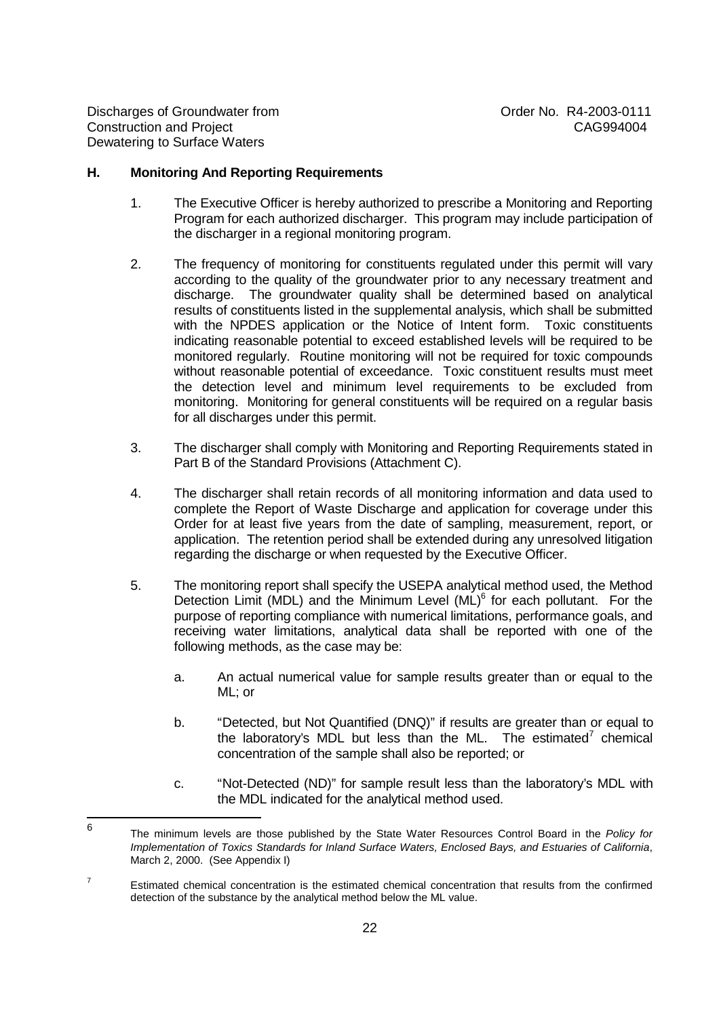Discharges of Groundwater from  $O(11)$  Order No. R4-2003-0111 Construction and Project CAG994004 Dewatering to Surface Waters

#### **H. Monitoring And Reporting Requirements**

- 1. The Executive Officer is hereby authorized to prescribe a Monitoring and Reporting Program for each authorized discharger. This program may include participation of the discharger in a regional monitoring program.
- 2. The frequency of monitoring for constituents regulated under this permit will vary according to the quality of the groundwater prior to any necessary treatment and discharge. The groundwater quality shall be determined based on analytical results of constituents listed in the supplemental analysis, which shall be submitted with the NPDES application or the Notice of Intent form. Toxic constituents indicating reasonable potential to exceed established levels will be required to be monitored regularly. Routine monitoring will not be required for toxic compounds without reasonable potential of exceedance. Toxic constituent results must meet the detection level and minimum level requirements to be excluded from monitoring. Monitoring for general constituents will be required on a regular basis for all discharges under this permit.
- 3. The discharger shall comply with Monitoring and Reporting Requirements stated in Part B of the Standard Provisions (Attachment C).
- 4. The discharger shall retain records of all monitoring information and data used to complete the Report of Waste Discharge and application for coverage under this Order for at least five years from the date of sampling, measurement, report, or application. The retention period shall be extended during any unresolved litigation regarding the discharge or when requested by the Executive Officer.
- 5. The monitoring report shall specify the USEPA analytical method used, the Method Detection Limit (MDL) and the Minimum Level (ML)<sup>6</sup> for each pollutant. For the purpose of reporting compliance with numerical limitations, performance goals, and receiving water limitations, analytical data shall be reported with one of the following methods, as the case may be:
	- a. An actual numerical value for sample results greater than or equal to the ML; or
	- b. "Detected, but Not Quantified (DNQ)" if results are greater than or equal to the laboratory's MDL but less than the ML. The estimated<sup>7</sup> chemical concentration of the sample shall also be reported; or
	- c. "Not-Detected (ND)" for sample result less than the laboratory's MDL with the MDL indicated for the analytical method used.

 6 The minimum levels are those published by the State Water Resources Control Board in the Policy for Implementation of Toxics Standards for Inland Surface Waters, Enclosed Bays, and Estuaries of California, March 2, 2000. (See Appendix I)

<sup>7</sup> Estimated chemical concentration is the estimated chemical concentration that results from the confirmed detection of the substance by the analytical method below the ML value.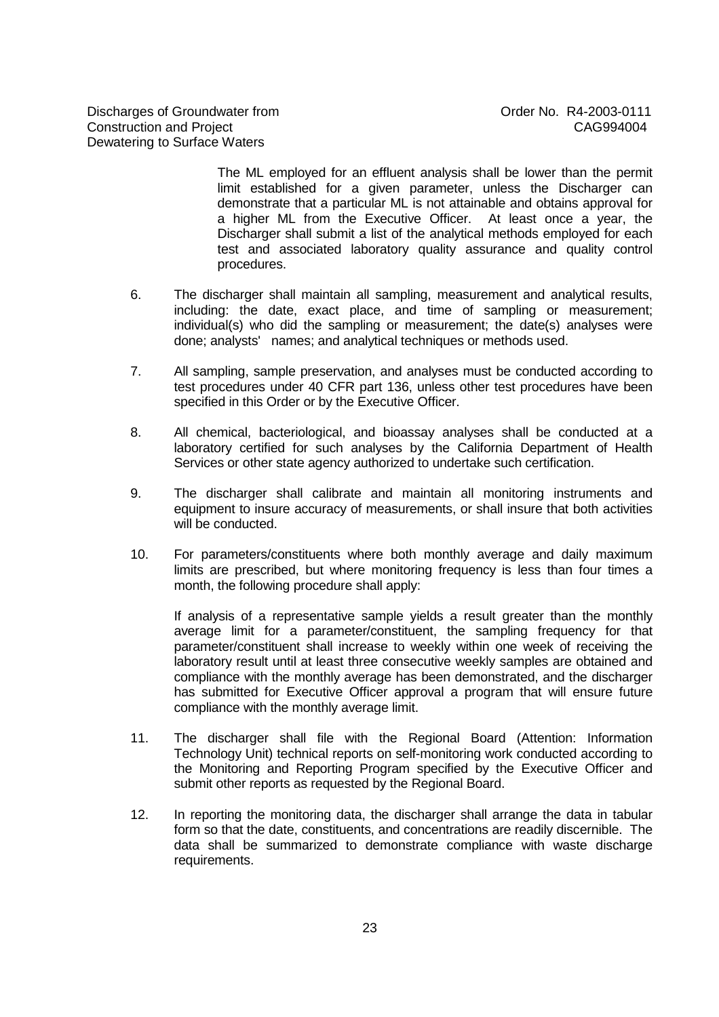Discharges of Groundwater from The Control of Control order No. R4-2003-0111 Construction and Project CAG994004 Dewatering to Surface Waters

The ML employed for an effluent analysis shall be lower than the permit limit established for a given parameter, unless the Discharger can demonstrate that a particular ML is not attainable and obtains approval for a higher ML from the Executive Officer. At least once a year, the Discharger shall submit a list of the analytical methods employed for each test and associated laboratory quality assurance and quality control procedures.

- 6. The discharger shall maintain all sampling, measurement and analytical results, including: the date, exact place, and time of sampling or measurement; individual(s) who did the sampling or measurement; the date(s) analyses were done; analysts' names; and analytical techniques or methods used.
- 7. All sampling, sample preservation, and analyses must be conducted according to test procedures under 40 CFR part 136, unless other test procedures have been specified in this Order or by the Executive Officer.
- 8. All chemical, bacteriological, and bioassay analyses shall be conducted at a laboratory certified for such analyses by the California Department of Health Services or other state agency authorized to undertake such certification.
- 9. The discharger shall calibrate and maintain all monitoring instruments and equipment to insure accuracy of measurements, or shall insure that both activities will be conducted.
- 10. For parameters/constituents where both monthly average and daily maximum limits are prescribed, but where monitoring frequency is less than four times a month, the following procedure shall apply:

If analysis of a representative sample yields a result greater than the monthly average limit for a parameter/constituent, the sampling frequency for that parameter/constituent shall increase to weekly within one week of receiving the laboratory result until at least three consecutive weekly samples are obtained and compliance with the monthly average has been demonstrated, and the discharger has submitted for Executive Officer approval a program that will ensure future compliance with the monthly average limit.

- 11. The discharger shall file with the Regional Board (Attention: Information Technology Unit) technical reports on self-monitoring work conducted according to the Monitoring and Reporting Program specified by the Executive Officer and submit other reports as requested by the Regional Board.
- 12. In reporting the monitoring data, the discharger shall arrange the data in tabular form so that the date, constituents, and concentrations are readily discernible. The data shall be summarized to demonstrate compliance with waste discharge requirements.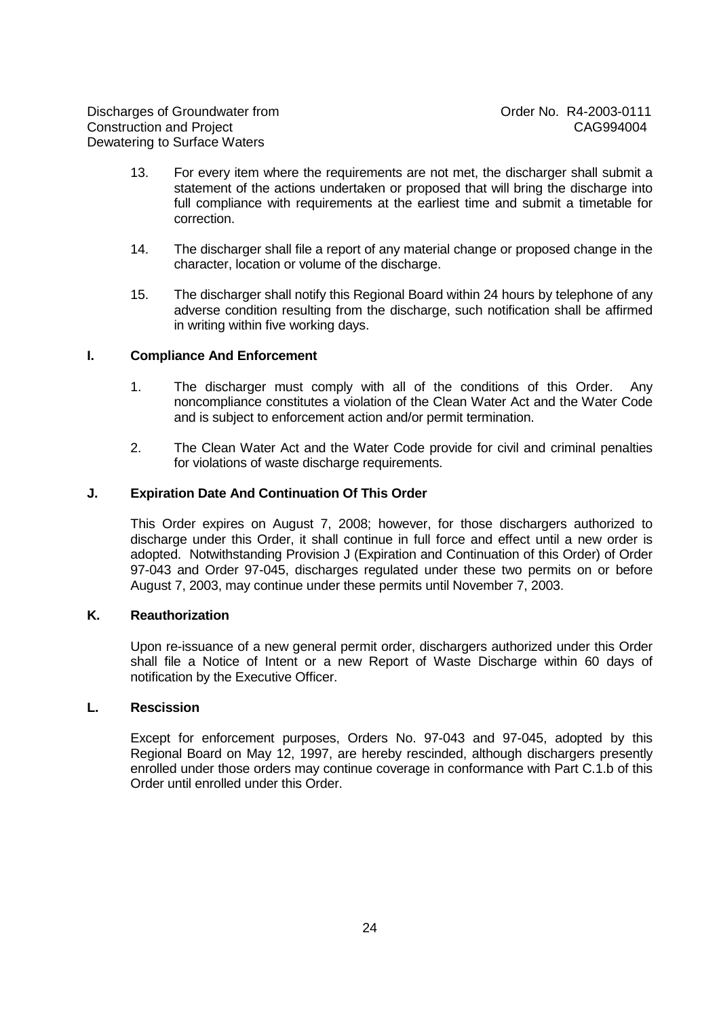- 13. For every item where the requirements are not met, the discharger shall submit a statement of the actions undertaken or proposed that will bring the discharge into full compliance with requirements at the earliest time and submit a timetable for correction.
- 14. The discharger shall file a report of any material change or proposed change in the character, location or volume of the discharge.
- 15. The discharger shall notify this Regional Board within 24 hours by telephone of any adverse condition resulting from the discharge, such notification shall be affirmed in writing within five working days.

## **I. Compliance And Enforcement**

- 1. The discharger must comply with all of the conditions of this Order. Any noncompliance constitutes a violation of the Clean Water Act and the Water Code and is subject to enforcement action and/or permit termination.
- 2. The Clean Water Act and the Water Code provide for civil and criminal penalties for violations of waste discharge requirements.

#### **J. Expiration Date And Continuation Of This Order**

This Order expires on August 7, 2008; however, for those dischargers authorized to discharge under this Order, it shall continue in full force and effect until a new order is adopted. Notwithstanding Provision J (Expiration and Continuation of this Order) of Order 97-043 and Order 97-045, discharges regulated under these two permits on or before August 7, 2003, may continue under these permits until November 7, 2003.

#### **K. Reauthorization**

Upon re-issuance of a new general permit order, dischargers authorized under this Order shall file a Notice of Intent or a new Report of Waste Discharge within 60 days of notification by the Executive Officer.

## **L. Rescission**

Except for enforcement purposes, Orders No. 97-043 and 97-045, adopted by this Regional Board on May 12, 1997, are hereby rescinded, although dischargers presently enrolled under those orders may continue coverage in conformance with Part C.1.b of this Order until enrolled under this Order.